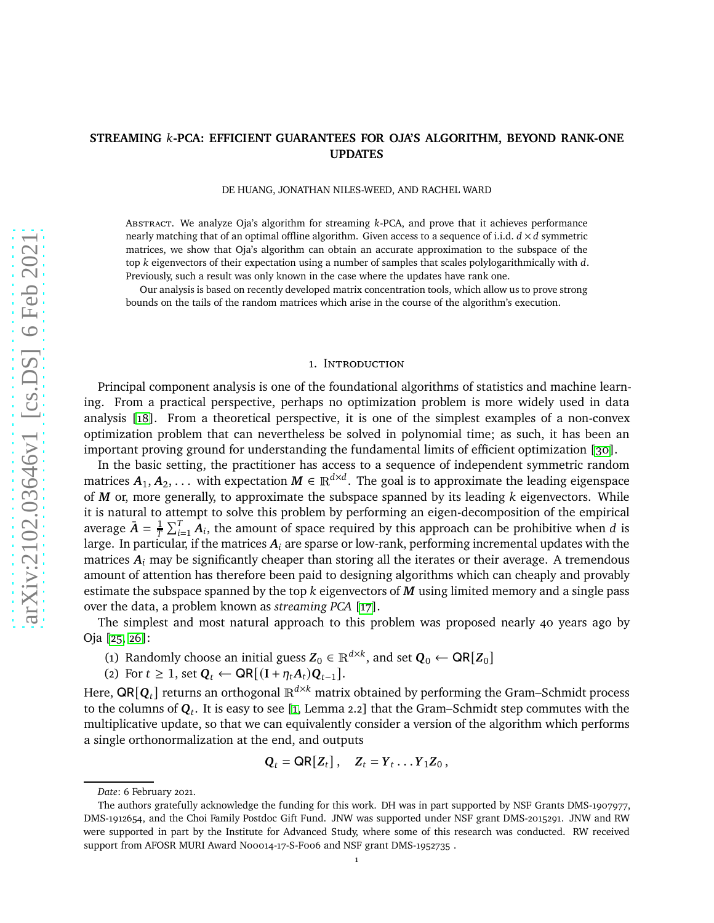# **STREAMING** 𝑘**-PCA: EFFICIENT GUARANTEES FOR OJA'S ALGORITHM, BEYOND RANK-ONE UPDATES**

DE HUANG, JONATHAN NILES-WEED, AND RACHEL WARD

ABSTRACT. We analyze Oja's algorithm for streaming k-PCA, and prove that it achieves performance nearly matching that of an optimal offline algorithm. Given access to a sequence of i.i.d.  $d \times d$  symmetric matrices, we show that Oja's algorithm can obtain an accurate approximation to the subspace of the top  $k$  eigenvectors of their expectation using a number of samples that scales polylogarithmically with  $d$ . Previously, such a result was only known in the case where the updates have rank one.

Our analysis is based on recently developed matrix concentration tools, which allow us to prove strong bounds on the tails of the random matrices which arise in the course of the algorithm's execution.

#### 1. INTRODUCTION

Principal component analysis is one of the foundational algorithms of statistics and machine learning. From a practical perspective, perhaps no optimization problem is more widely used in data analysis [\[18\]](#page-26-0). From a theoretical perspective, it is one of the simplest examples of a non-convex optimization problem that can nevertheless be solved in polynomial time; as such, it has been an important proving ground for understanding the fundamental limits of efficient optimization [\[30\]](#page-27-0).

In the basic setting, the practitioner has access to a sequence of independent symmetric random matrices  $A_1, A_2, \ldots$  with expectation  $M \in \mathbb{R}^{d \times d}$ . The goal is to approximate the leading eigenspace of  $M$  or, more generally, to approximate the subspace spanned by its leading  $k$  eigenvectors. While it is natural to attempt to solve this problem by performing an eigen-decomposition of the empirical average  $\bar{A} = \frac{1}{T}$  $\frac{1}{T} \sum_{i=1}^{T} A_i$ , the amount of space required by this approach can be prohibitive when d is large. In particular, if the matrices  $A_i$  are sparse or low-rank, performing incremental updates with the matrices  $A_i$  may be significantly cheaper than storing all the iterates or their average. A tremendous amount of attention has therefore been paid to designing algorithms which can cheaply and provably estimate the subspace spanned by the top  $k$  eigenvectors of  $M$  using limited memory and a single pass over the data, a problem known as *streaming PCA* [\[17\]](#page-26-1).

The simplest and most natural approach to this problem was proposed nearly 40 years ago by Oja [\[25,](#page-27-1) [26\]](#page-27-2):

- (1) Randomly choose an initial guess  $Z_0 \in \mathbb{R}^{d \times k}$ , and set  $Q_0 \leftarrow \text{QR}[Z_0]$
- (2) For  $t \geq 1$ , set  $Q_t$  ← QR[ $(I + η_t A_t) Q_{t-1}$ ].

Here,  $\textsf{QR}[\mathbf{Q}_t]$  returns an orthogonal  $\mathbb{R}^{d\times k}$  matrix obtained by performing the Gram–Schmidt process to the columns of  $\mathbf{Q}_t$ . It is easy to see [\[1,](#page-26-2) Lemma 2.2] that the Gram–Schmidt step commutes with the multiplicative update, so that we can equivalently consider a version of the algorithm which performs a single orthonormalization at the end, and outputs

$$
\mathbf{Q}_t = \mathbf{QR}[Z_t], \quad Z_t = Y_t \dots Y_1 Z_0,
$$

*Date*: 6 February 2021.

The authors gratefully acknowledge the funding for this work. DH was in part supported by NSF Grants DMS-1907977, DMS-1912654, and the Choi Family Postdoc Gift Fund. JNW was supported under NSF grant DMS-2015291. JNW and RW were supported in part by the Institute for Advanced Study, where some of this research was conducted. RW received support from AFOSR MURI Award N00014-17-S-F006 and NSF grant DMS-1952735 .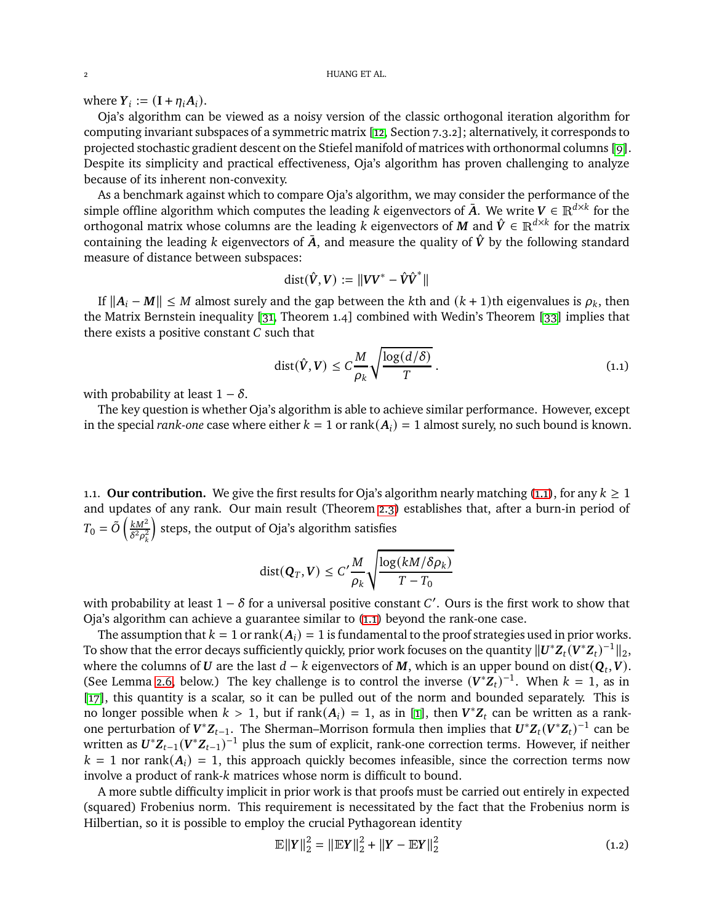where  $Y_i := (\mathbf{I} + \eta_i \mathbf{A}_i).$ 

Oja's algorithm can be viewed as a noisy version of the classic orthogonal iteration algorithm for computing invariant subspaces of a symmetric matrix [\[12,](#page-26-3) Section 7.3.2]; alternatively, it corresponds to projected stochastic gradient descent on the Stiefel manifold of matrices with orthonormal columns [\[9\]](#page-26-4). Despite its simplicity and practical effectiveness, Oja's algorithm has proven challenging to analyze because of its inherent non-convexity.

As a benchmark against which to compare Oja's algorithm, we may consider the performance of the simple offline algorithm which computes the leading k eigenvectors of  $\overline{A}$ . We write  $V \in \mathbb{R}^{d \times k}$  for the orthogonal matrix whose columns are the leading *k* eigenvectors of *M* and  $\hat{V} \in \mathbb{R}^{d \times k}$  for the matrix containing the leading k eigenvectors of  $\overline{A}$ , and measure the quality of  $\hat{V}$  by the following standard measure of distance between subspaces:

<span id="page-1-0"></span>
$$
dist(\hat{V}, V) := ||VV^* - \hat{V}\hat{V}^*||
$$

If  $||A_i - M|| \leq M$  almost surely and the gap between the kth and  $(k + 1)$ th eigenvalues is  $\rho_k$ , then the Matrix Bernstein inequality [\[31,](#page-27-3) Theorem 1.4] combined with Wedin's Theorem [\[33\]](#page-27-4) implies that there exists a positive constant  $C$  such that

$$
\operatorname{dist}(\hat{V}, V) \le C \frac{M}{\rho_k} \sqrt{\frac{\log(d/\delta)}{T}}.
$$
\n(1.1)

with probability at least  $1 - \delta$ .

The key question is whether Oja's algorithm is able to achieve similar performance. However, except in the special *rank-one* case where either  $k = 1$  or  $rank(A_i) = 1$  almost surely, no such bound is known.

1.1. **Our contribution.** We give the first results for Oja's algorithm nearly matching [\(1.1\)](#page-1-0), for any  $k \ge 1$ and updates of any rank. Our main result (Theorem [2.3\)](#page-4-0) establishes that, after a burn-in period of  $T_0 = \tilde{\tilde{O}} \left( \frac{k M^2}{\delta^2 \rho^2} \right)$  $\delta^2\rho_k^2$ steps, the output of Oja's algorithm satisfies

$$
dist(\mathbf{Q}_T, \mathbf{V}) \le C' \frac{M}{\rho_k} \sqrt{\frac{\log(kM/\delta \rho_k)}{T - T_0}}
$$

with probability at least  $1 - \delta$  for a universal positive constant  $C'$ . Ours is the first work to show that Oja's algorithm can achieve a guarantee similar to [\(1.1\)](#page-1-0) beyond the rank-one case.

The assumption that  $k = 1$  or rank $(A_i) = 1$  is fundamental to the proof strategies used in prior works. To show that the error decays sufficiently quickly, prior work focuses on the quantity  $\|\bm{U}^*\bm{Z}_t(\bm{V}^*\bm{Z}_t)^{-1}\|_2$ , where the columns of  $U$  are the last  $d - k$  eigenvectors of  $M$ , which is an upper bound on dist $(Q_t, V)$ . (See Lemma [2.6,](#page-5-0) below.) The key challenge is to control the inverse  $(V^*Z_t)^{-1}$ . When  $k = 1$ , as in [\[17\]](#page-26-1), this quantity is a scalar, so it can be pulled out of the norm and bounded separately. This is no longer possible when  $k > 1$ , but if rank $(A_i) = 1$ , as in [\[1\]](#page-26-2), then  $V^*Z_t$  can be written as a rankone perturbation of  $V^*Z_{t-1}$ . The Sherman–Morrison formula then implies that  $U^*Z_t(V^*Z_t)^{-1}$  can be written as  $\mathbf{U}^*\mathbf{Z}_{t-1}(\mathbf{V}^*\mathbf{Z}_{t-1})^{-1}$  plus the sum of explicit, rank-one correction terms. However, if neither  $k = 1$  nor rank $(A_i) = 1$ , this approach quickly becomes infeasible, since the correction terms now involve a product of rank-k matrices whose norm is difficult to bound.

A more subtle difficulty implicit in prior work is that proofs must be carried out entirely in expected (squared) Frobenius norm. This requirement is necessitated by the fact that the Frobenius norm is Hilbertian, so it is possible to employ the crucial Pythagorean identity

<span id="page-1-1"></span>
$$
\mathbb{E}||Y||_2^2 = ||\mathbb{E}Y||_2^2 + ||Y - \mathbb{E}Y||_2^2
$$
\n(1.2)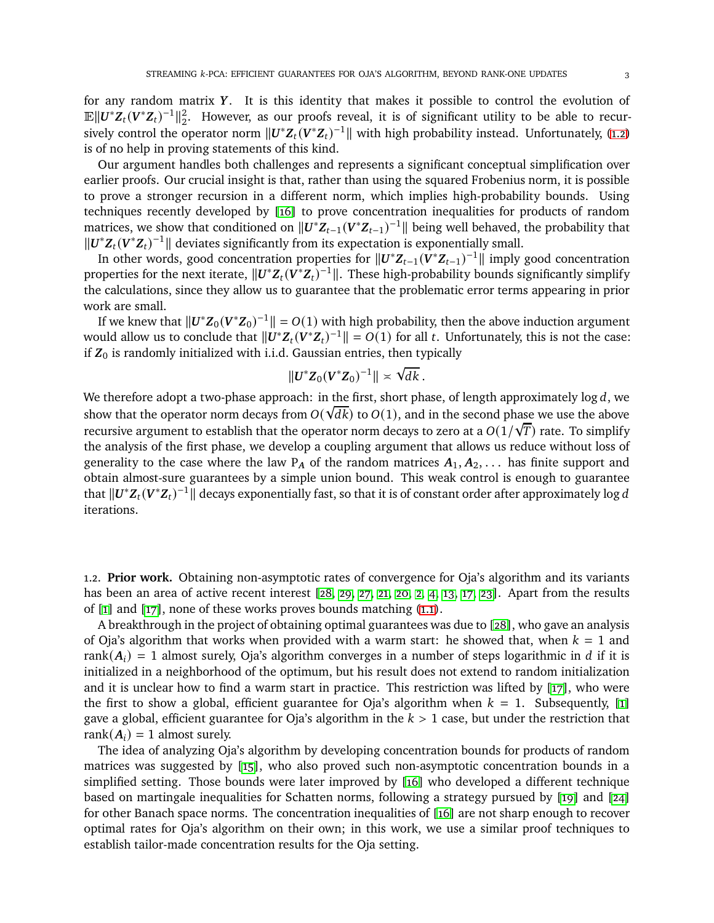for any random matrix  $Y$ . It is this identity that makes it possible to control the evolution of  $\mathbb{E} \|\bm{U}^*\bm{Z}_t(\bm{V}^*\bm{Z}_t)^{-1}\|_2^2$  $\frac{2}{2}$ . However, as our proofs reveal, it is of significant utility to be able to recursively control the operator norm  $\|\mathbf{U}^*\mathbf{Z}_t(\mathbf{V}^*\mathbf{Z}_t)^{-1}\|$  with high probability instead. Unfortunately, [\(1.2\)](#page-1-1) is of no help in proving statements of this kind.

Our argument handles both challenges and represents a significant conceptual simplification over earlier proofs. Our crucial insight is that, rather than using the squared Frobenius norm, it is possible to prove a stronger recursion in a different norm, which implies high-probability bounds. Using techniques recently developed by [\[16\]](#page-26-5) to prove concentration inequalities for products of random matrices, we show that conditioned on  $||U^*Z_{t-1}(V^*Z_{t-1})^{-1}||$  being well behaved, the probability that  $||U^*Z_t(V^*Z_t)^{-1}||$  deviates significantly from its expectation is exponentially small.

In other words, good concentration properties for  $||U^*Z_{t-1}(V^*Z_{t-1})^{-1}||$  imply good concentration properties for the next iterate,  $||U^*Z_t(V^*Z_t)^{-1}||$ . These high-probability bounds significantly simplify the calculations, since they allow us to guarantee that the problematic error terms appearing in prior work are small.

If we knew that  $||\mathbf{U}^* \mathbf{Z}_0 (\mathbf{V}^* \mathbf{Z}_0)^{-1}|| = O(1)$  with high probability, then the above induction argument would allow us to conclude that  $||\mathbf{U}^*\mathbf{Z}_t(\mathbf{V}^*\mathbf{Z}_t)^{-1}|| = O(1)$  for all  $t$ . Unfortunately, this is not the case: if  $Z_0$  is randomly initialized with i.i.d. Gaussian entries, then typically

$$
||U^*Z_0(V^*Z_0)^{-1}|| \times \sqrt{dk}.
$$

We therefore adopt a two-phase approach: in the first, short phase, of length approximately  $\log d$ , we show that the operator norm decays from  $O(\sqrt{dk})$  to  $O(1)$ , and in the second phase we use the above recursive argument to establish that the operator norm decays to zero at a  $O(1/\sqrt{T})$  rate. To simplify the analysis of the first phase, we develop a coupling argument that allows us reduce without loss of generality to the case where the law  $P_A$  of the random matrices  $A_1, A_2, \ldots$  has finite support and obtain almost-sure guarantees by a simple union bound. This weak control is enough to guarantee that  $\| \bm{U}^* \bm{Z}_t (\bm{V}^* \bm{Z}_t)^{-1} \|$  decays exponentially fast, so that it is of constant order after approximately log  $d$ iterations.

1.2. **Prior work.** Obtaining non-asymptotic rates of convergence for Oja's algorithm and its variants has been an area of active recent interest [\[28,](#page-27-5) [29,](#page-27-6) [27,](#page-27-7) [21,](#page-27-8) [20,](#page-26-6) [2,](#page-26-7) [4,](#page-26-8) [13,](#page-26-9) [17,](#page-26-1) [23\]](#page-27-9). Apart from the results of [\[1\]](#page-26-2) and [\[17\]](#page-26-1), none of these works proves bounds matching [\(1.1\)](#page-1-0).

A breakthrough in the project of obtaining optimal guarantees was due to [\[28\]](#page-27-5), who gave an analysis of Oja's algorithm that works when provided with a warm start: he showed that, when  $k = 1$  and rank( $A_i$ ) = 1 almost surely, Oja's algorithm converges in a number of steps logarithmic in d if it is initialized in a neighborhood of the optimum, but his result does not extend to random initialization and it is unclear how to find a warm start in practice. This restriction was lifted by [\[17\]](#page-26-1), who were the first to show a global, efficient guarantee for Oja's algorithm when  $k = 1$ . Subsequently, [\[1\]](#page-26-2) gave a global, efficient guarantee for Oja's algorithm in the  $k > 1$  case, but under the restriction that rank $(A_i) = 1$  almost surely.

The idea of analyzing Oja's algorithm by developing concentration bounds for products of random matrices was suggested by [\[15\]](#page-26-10), who also proved such non-asymptotic concentration bounds in a simplified setting. Those bounds were later improved by [\[16\]](#page-26-5) who developed a different technique based on martingale inequalities for Schatten norms, following a strategy pursued by [\[19\]](#page-26-11) and [\[24\]](#page-27-10) for other Banach space norms. The concentration inequalities of [\[16\]](#page-26-5) are not sharp enough to recover optimal rates for Oja's algorithm on their own; in this work, we use a similar proof techniques to establish tailor-made concentration results for the Oja setting.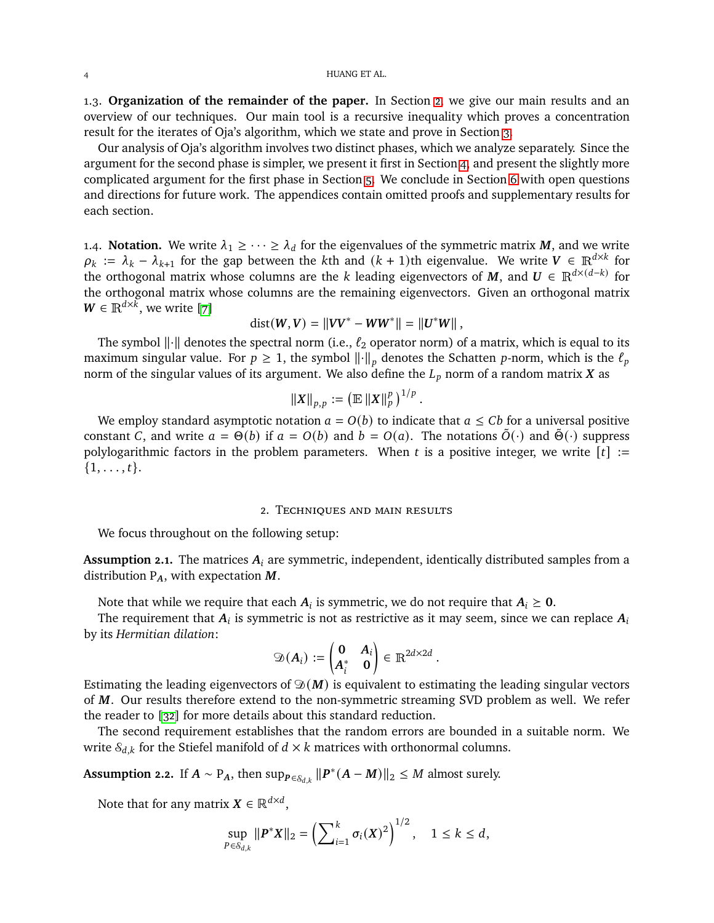1.3. **Organization of the remainder of the paper.** In Section [2,](#page-3-0) we give our main results and an overview of our techniques. Our main tool is a recursive inequality which proves a concentration result for the iterates of Oja's algorithm, which we state and prove in Section [3.](#page-6-0)

Our analysis of Oja's algorithm involves two distinct phases, which we analyze separately. Since the argument for the second phase is simpler, we present it first in Section [4,](#page-7-0) and present the slightly more complicated argument for the first phase in Section [5.](#page-8-0) We conclude in Section [6](#page-9-0) with open questions and directions for future work. The appendices contain omitted proofs and supplementary results for each section.

1.4. **Notation.** We write  $\lambda_1 \geq \cdots \geq \lambda_d$  for the eigenvalues of the symmetric matrix M, and we write  $\rho_k := \lambda_k - \lambda_{k+1}$  for the gap between the kth and  $(k+1)$ th eigenvalue. We write  $V \in \mathbb{R}^{d \times k}$  for the orthogonal matrix whose columns are the *k* leading eigenvectors of  $M$ , and  $U \in \mathbb{R}^{d \times (d-k)}$  for the orthogonal matrix whose columns are the remaining eigenvectors. Given an orthogonal matrix  $W \in \mathbb{R}^{d \times k}$ , we write [\[7\]](#page-26-12)

$$
dist(W, V) = ||VV^* - WW^*|| = ||U^*W||,
$$

The symbol  $\lVert \cdot \rVert$  denotes the spectral norm (i.e.,  $\ell_2$  operator norm) of a matrix, which is equal to its maximum singular value. For  $p \geq 1$ , the symbol  $\left\| \cdot \right\|_p$  denotes the Schatten p-norm, which is the  $\ell_p$ norm of the singular values of its argument. We also define the  $L_p$  norm of a random matrix X as

$$
\left\Vert X\right\Vert _{p,p}:=\left(\mathbb{E}\left\Vert X\right\Vert _{p}^{p}\right)^{1/p}.
$$

We employ standard asymptotic notation  $a = O(b)$  to indicate that  $a \leq Cb$  for a universal positive constant C, and write  $a = \Theta(b)$  if  $a = O(b)$  and  $b = O(a)$ . The notations  $\tilde{O}(\cdot)$  and  $\tilde{\Theta}(\cdot)$  suppress polylogarithmic factors in the problem parameters. When t is a positive integer, we write  $[t] :=$  $\{1, \ldots, t\}.$ 

#### 2. Techniques and main results

<span id="page-3-0"></span>We focus throughout on the following setup:

<span id="page-3-1"></span>**Assumption 2.1.** The matrices  $A_i$  are symmetric, independent, identically distributed samples from a distribution  $P_A$ , with expectation  $M$ .

Note that while we require that each  $A_i$  is symmetric, we do not require that  $A_i \geq 0$ .

The requirement that  $A_i$  is symmetric is not as restrictive as it may seem, since we can replace  $A_i$ by its *Hermitian dilation*:

$$
\mathfrak{D}(\boldsymbol{A}_i) := \begin{pmatrix} \mathbf{0} & \boldsymbol{A}_i \\ \boldsymbol{A}_i^* & \mathbf{0} \end{pmatrix} \in \mathbb{R}^{2d \times 2d}.
$$

Estimating the leading eigenvectors of  $\mathfrak{D}(M)$  is equivalent to estimating the leading singular vectors of M. Our results therefore extend to the non-symmetric streaming SVD problem as well. We refer the reader to [\[32\]](#page-27-11) for more details about this standard reduction.

The second requirement establishes that the random errors are bounded in a suitable norm. We write  $S_{d,k}$  for the Stiefel manifold of  $d \times k$  matrices with orthonormal columns.

<span id="page-3-2"></span>**Assumption 2.2.** If  $A \sim P_A$ , then  $\sup_{P \in \mathcal{S}_{d,k}} ||P^*(A-M)||_2 \leq M$  almost surely.

Note that for any matrix  $X \in \mathbb{R}^{d \times d}$ ,

$$
\sup_{P\in\mathcal{S}_{d,k}}\|P^*X\|_2=\left(\sum_{i=1}^k\sigma_i(X)^2\right)^{1/2},\quad 1\leq k\leq d,
$$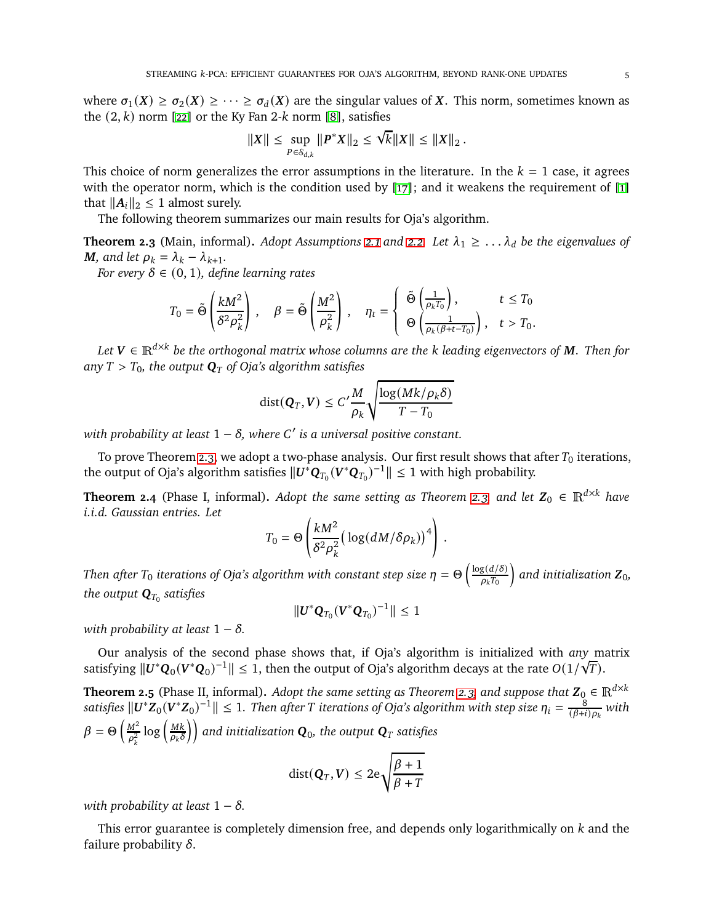where  $\sigma_1(X) \ge \sigma_2(X) \ge \cdots \ge \sigma_d(X)$  are the singular values of X. This norm, sometimes known as the  $(2, k)$  norm [\[22\]](#page-27-12) or the Ky Fan 2-k norm [\[8\]](#page-26-13), satisfies

$$
||X|| \leq \sup_{P \in S_{d,k}} ||P^*X||_2 \leq \sqrt{k} ||X|| \leq ||X||_2.
$$

This choice of norm generalizes the error assumptions in the literature. In the  $k = 1$  case, it agrees with the operator norm, which is the condition used by [\[17\]](#page-26-1); and it weakens the requirement of [\[1\]](#page-26-2) that  $||A_i||_2 \leq 1$  almost surely.

The following theorem summarizes our main results for Oja's algorithm.

<span id="page-4-0"></span>**Theorem 2.3** (Main, informal). *Adopt Assumptions* [2.1](#page-3-1) and [2.2.](#page-3-2) Let  $\lambda_1 \geq \ldots \lambda_d$  be the eigenvalues of *M,* and let  $\rho_k = \lambda_k - \lambda_{k+1}$ .

*For every*  $\delta \in (0, 1)$ *, define learning rates* 

$$
T_0 = \tilde{\Theta}\left(\frac{kM^2}{\delta^2 \rho_k^2}\right), \quad \beta = \tilde{\Theta}\left(\frac{M^2}{\rho_k^2}\right), \quad \eta_t = \begin{cases} \tilde{\Theta}\left(\frac{1}{\rho_k T_0}\right), & t \le T_0 \\ \Theta\left(\frac{1}{\rho_k(\beta + t - T_0)}\right), & t > T_0. \end{cases}
$$

 $Let \textbf{\textit{V}} \in \mathbb{R}^{d \times k}$  be the orthogonal matrix whose columns are the  $k$  leading eigenvectors of  $\textbf{\textit{M}}$ . Then for any  $T > T_0$ , the output  $\mathbf{Q}_T$  of Oja's algorithm satisfies

$$
\text{dist}(\mathbf{Q}_T, \mathbf{V}) \le C' \frac{M}{\rho_k} \sqrt{\frac{\log(Mk/\rho_k \delta)}{T - T_0}}
$$

*with probability at least* 1 − 𝛿*, where* 𝐶 ′ *is a universal positive constant.*

To prove Theorem [2.3,](#page-4-0) we adopt a two-phase analysis. Our first result shows that after  $T_0$  iterations, the output of Oja's algorithm satisfies  $\|\bm U^*\bm Q_{T_0}(\bm V^*\bm Q_{T_0})^{-1}\|\leq 1$  with high probability.

<span id="page-4-1"></span>**Theorem 2.4** (Phase I, informal). *Adopt the same setting as Theorem [2.3,](#page-4-0) and let*  $Z_0 \in \mathbb{R}^{d \times k}$  *have i.i.d. Gaussian entries. Let*

$$
T_0 = \Theta\left(\frac{kM^2}{\delta^2\rho_k^2}\big(\log(dM/\delta\rho_k)\big)^4\right)\,.
$$

*Then after T*<sub>0</sub> iterations of Oja's algorithm with constant step size  $η = Θ\left(\frac{\log(d/δ)}{ρ_k T_0}\right)$  $\big)$  and initialization  $Z_{0}$ , the output  $\mathbf{Q}_{T_0}$  satisfies

 $||U^* \mathbf{Q}_{T_0} (V^* \mathbf{Q}_{T_0})^{-1}|| \leq 1$ 

*with probability at least*  $1 - \delta$ *.* 

Our analysis of the second phase shows that, if Oja's algorithm is initialized with *any* matrix satisfying  $||U^*Q_0(V^*Q_0)^{-1}|| \le 1$ , then the output of Oja's algorithm decays at the rate  $O(1/\sqrt{T})$ .

<span id="page-4-2"></span>**Theorem 2.5** (Phase II, informal). *Adopt the same setting as Theorem [2.3,](#page-4-0) and suppose that*  $\mathbf{Z}_0 \in \mathbb{R}^{d \times k}$  $satisfies$   $\|U^*Z_0(V^*Z_0)^{-1}\|\leq 1.$  Then after  $T$  iterations of Oja's algorithm with step size  $\eta_i=\frac{8}{(\beta+i)}$  $\frac{8}{(\beta+i)\rho_k}$  with  $\beta = \Theta \left( \frac{M^2}{\sigma^2} \right)$  $\frac{M^2}{\rho_k^2} \log \left( \frac{Mk}{\rho_k \delta} \right)$  $\left(\frac{Mk}{\rho_k\delta}\right)\right)$  and initialization  $\boldsymbol{Q}_0$ , the output  $\boldsymbol{Q}_T$  satisfies

$$
dist(\mathbf{Q}_T, V) \leq 2e \sqrt{\frac{\beta + 1}{\beta + T}}
$$

*with probability at least*  $1 - \delta$ *.* 

This error guarantee is completely dimension free, and depends only logarithmically on  $k$  and the failure probability  $\delta$ .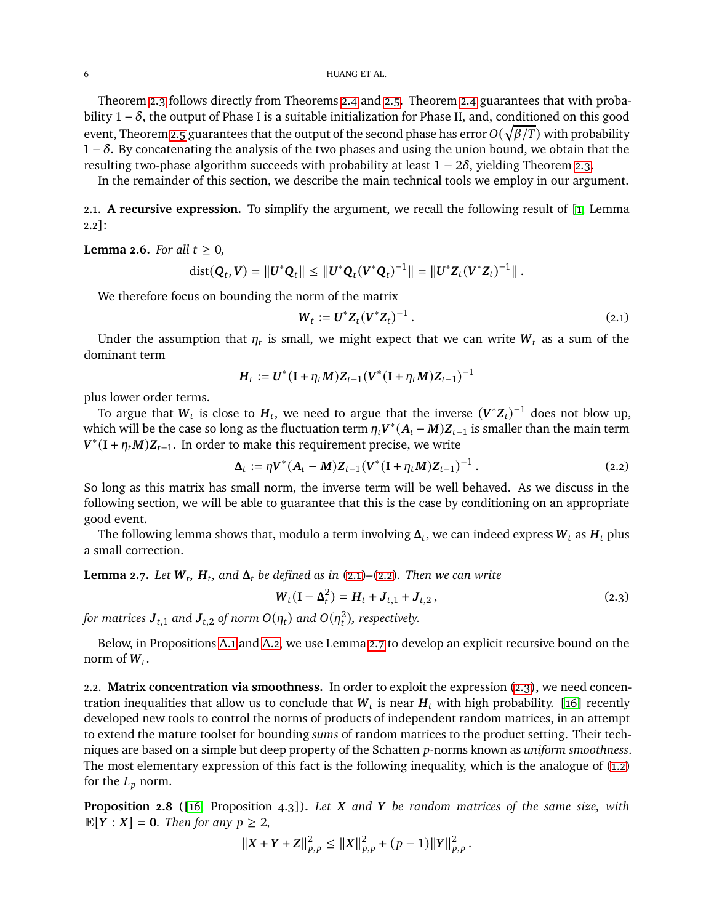Theorem [2.3](#page-4-0) follows directly from Theorems [2.4](#page-4-1) and [2.5.](#page-4-2) Theorem [2.4](#page-4-1) guarantees that with probability  $1 - \delta$ , the output of Phase I is a suitable initialization for Phase II, and, conditioned on this good event, Theorem [2.5](#page-4-2) guarantees that the output of the second phase has error  $O(\sqrt{\beta/T})$  with probability  $1 - \delta$ . By concatenating the analysis of the two phases and using the union bound, we obtain that the resulting two-phase algorithm succeeds with probability at least  $1 - 2\delta$ , yielding Theorem [2.3.](#page-4-0)

In the remainder of this section, we describe the main technical tools we employ in our argument.

2.1. **A recursive expression.** To simplify the argument, we recall the following result of [\[1,](#page-26-2) Lemma 2.2]:

<span id="page-5-0"></span>**Lemma 2.6.** *For all*  $t \geq 0$ *,* 

$$
\text{dist}(\mathbf{Q}_t, \mathbf{V}) = ||\mathbf{U}^*\mathbf{Q}_t|| \leq ||\mathbf{U}^*\mathbf{Q}_t(\mathbf{V}^*\mathbf{Q}_t)^{-1}|| = ||\mathbf{U}^*\mathbf{Z}_t(\mathbf{V}^*\mathbf{Z}_t)^{-1}||.
$$

We therefore focus on bounding the norm of the matrix

<span id="page-5-2"></span><span id="page-5-1"></span>
$$
\mathbf{W}_t := \mathbf{U}^* \mathbf{Z}_t (\mathbf{V}^* \mathbf{Z}_t)^{-1} \,. \tag{2.1}
$$

Under the assumption that  $\eta_t$  is small, we might expect that we can write  $\pmb{W}_t$  as a sum of the dominant term

$$
H_t := U^* (I + \eta_t M) Z_{t-1} (V^* (I + \eta_t M) Z_{t-1})^{-1}
$$

plus lower order terms.

To argue that  $W_t$  is close to  $H_t$ , we need to argue that the inverse  $(V^*Z_t)^{-1}$  does not blow up, which will be the case so long as the fluctuation term  $\eta_t \bm{V}^*(\bm{A}_t - \bm{M})\bm{Z}_{t-1}$  is smaller than the main term  $\bm{V}^*(\bm{I} + \eta_t \bm{M})\bm{Z}_{t-1}$ . In order to make this requirement precise, we write

$$
\Delta_t := \eta V^*(A_t - M) Z_{t-1} (V^*(I + \eta_t M) Z_{t-1})^{-1} . \tag{2.2}
$$

So long as this matrix has small norm, the inverse term will be well behaved. As we discuss in the following section, we will be able to guarantee that this is the case by conditioning on an appropriate good event.

The following lemma shows that, modulo a term involving  $\pmb{\Delta}_t$ , we can indeed express  $\pmb{W}_t$  as  $\pmb{H}_t$  plus a small correction.

<span id="page-5-3"></span>**Lemma 2.7.** Let  $W_t$ ,  $H_t$ , and  $\Delta_t$  be defined as in [\(2.1\)](#page-5-1)–[\(2.2\)](#page-5-2). Then we can write

<span id="page-5-4"></span>
$$
W_t(I - \Delta_t^2) = H_t + J_{t,1} + J_{t,2},
$$
\n(2.3)

*for matrices*  $J_{t,1}$  *and*  $J_{t,2}$  *of norm*  $O(\eta_t)$  and  $O(\eta_t^2)$ , respectively.

Below, in Propositions [A.1](#page-10-0) and [A.2,](#page-11-0) we use Lemma [2.7](#page-5-3) to develop an explicit recursive bound on the norm of  $W_t$ .

<span id="page-5-6"></span>2.2. **Matrix concentration via smoothness.** In order to exploit the expression [\(2.3\)](#page-5-4), we need concentration inequalities that allow us to conclude that  $\pmb{W}_t$  is near  $\pmb{H}_t$  with high probability. [\[16\]](#page-26-5) recently developed new tools to control the norms of products of independent random matrices, in an attempt to extend the mature toolset for bounding *sums* of random matrices to the product setting. Their techniques are based on a simple but deep property of the Schatten *p*-norms known as *uniform smoothness*. The most elementary expression of this fact is the following inequality, which is the analogue of [\(1.2\)](#page-1-1) for the  $L_p$  norm.

<span id="page-5-5"></span>**Proposition 2.8** ([\[16,](#page-26-5) Proposition 4.3]). Let X and Y be random matrices of the same size, with  $\mathbb{E}[Y : X] = 0$ *. Then for any*  $p \geq 2$ *,* 

$$
||X+Y+Z||_{p,p}^{2} \leq ||X||_{p,p}^{2} + (p-1)||Y||_{p,p}^{2}.
$$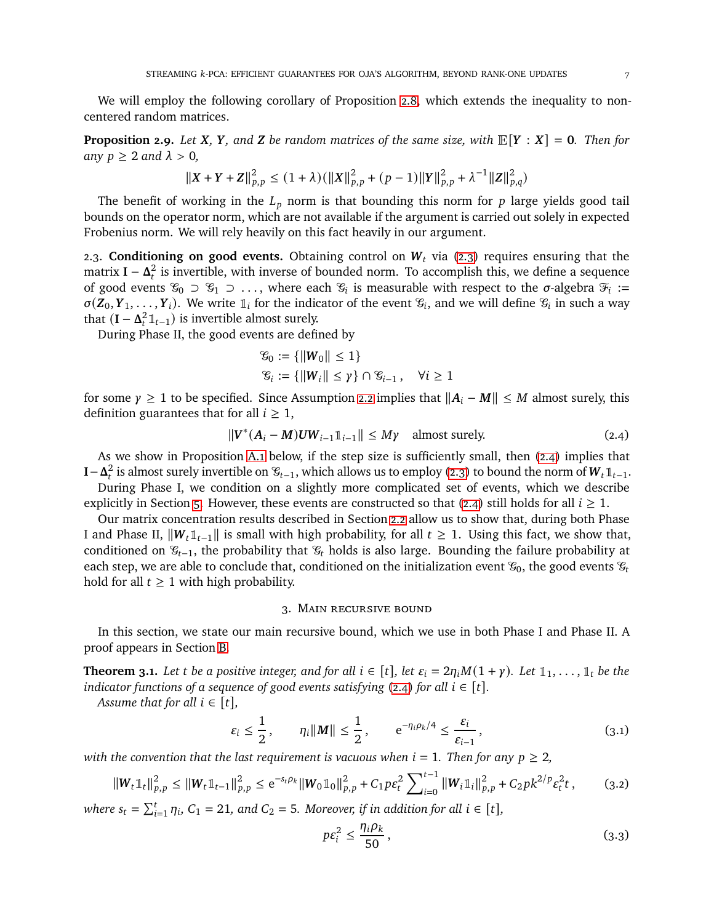We will employ the following corollary of Proposition [2.8,](#page-5-5) which extends the inequality to noncentered random matrices.

<span id="page-6-4"></span>**Proposition 2.9.** *Let*  $X$ *,*  $Y$ *, and*  $Z$  *be random matrices of the same size, with*  $\mathbb{E}[Y : X] = 0$ *. Then for any*  $p \geq 2$  *and*  $\lambda > 0$ ,

$$
||X + Y + Z||_{p,p}^{2} \le (1 + \lambda) (||X||_{p,p}^{2} + (p - 1)||Y||_{p,p}^{2} + \lambda^{-1}||Z||_{p,q}^{2})
$$

The benefit of working in the  $L_p$  norm is that bounding this norm for  $p$  large yields good tail bounds on the operator norm, which are not available if the argument is carried out solely in expected Frobenius norm. We will rely heavily on this fact heavily in our argument.

2.3. **Conditioning on good events.** Obtaining control on  $W_t$  via [\(2.3\)](#page-5-4) requires ensuring that the matrix  $\mathbf{I} - \mathbf{\Delta}_t^2$  is invertible, with inverse of bounded norm. To accomplish this, we define a sequence of good events  $\mathcal{G}_0 \supset \mathcal{G}_1 \supset \ldots$ , where each  $\mathcal{G}_i$  is measurable with respect to the  $\sigma$ -algebra  $\mathcal{F}_i :=$  $\sigma(Z_0, Y_1, \ldots, Y_i)$ . We write  $\mathbb{1}_i$  for the indicator of the event  $\mathscr{C}_i$ , and we will define  $\mathscr{C}_i$  in such a way that  $(I - \Delta_t^2 \mathbb{1}_{t-1})$  is invertible almost surely.

During Phase II, the good events are defined by

<span id="page-6-1"></span>
$$
\mathcal{G}_0 := \{ ||W_0|| \le 1 \}
$$
  

$$
\mathcal{G}_i := \{ ||W_i|| \le \gamma \} \cap \mathcal{G}_{i-1}, \quad \forall i \ge 1
$$

for some  $\gamma \geq 1$  to be specified. Since Assumption [2.2](#page-3-2) implies that  $||A_i - M|| \leq M$  almost surely, this definition guarantees that for all  $i \geq 1$ ,

$$
\|V^*(A_i - M)UW_{i-1}\mathbb{1}_{i-1}\| \le M\gamma \quad \text{almost surely.} \tag{2.4}
$$

As we show in Proposition [A.1](#page-10-0) below, if the step size is sufficiently small, then [\(2.4\)](#page-6-1) implies that **I**− $\Delta_t^2$  is almost surely invertible on  $\mathcal{C}_{t-1}$ , which allows us to employ [\(2.3\)](#page-5-4) to bound the norm of  $W_t \mathbb{1}_{t-1}$ .

During Phase I, we condition on a slightly more complicated set of events, which we describe explicitly in Section [5.](#page-8-0) However, these events are constructed so that [\(2.4\)](#page-6-1) still holds for all  $i \geq 1$ .

Our matrix concentration results described in Section [2.2](#page-5-6) allow us to show that, during both Phase I and Phase II,  $||W_t \mathbb{1}_{t-1}||$  is small with high probability, for all  $t ≥ 1$ . Using this fact, we show that, conditioned on  $\mathcal{G}_{t-1}$ , the probability that  $\mathcal{G}_t$  holds is also large. Bounding the failure probability at each step, we are able to conclude that, conditioned on the initialization event  $\mathcal{G}_0$ , the good events  $\mathcal{G}_t$ hold for all  $t \geq 1$  with high probability.

#### 3. Main recursive bound

<span id="page-6-0"></span>In this section, we state our main recursive bound, which we use in both Phase I and Phase II. A proof appears in Section [B.](#page-12-0)

<span id="page-6-3"></span>**Theorem 3.1.** Let t be a positive integer, and for all  $i \in [t]$ , let  $\varepsilon_i = 2\eta_i M(1 + \gamma)$ . Let  $\mathbb{1}_1, \ldots, \mathbb{1}_t$  be the *indicator functions of a sequence of good events satisfying* [\(2.4\)](#page-6-1) *for all*  $i \in [t]$ *.* 

*Assume that for all*  $i \in [t]$ *,* 

$$
\varepsilon_i \leq \frac{1}{2}, \qquad \eta_i \|M\| \leq \frac{1}{2}, \qquad e^{-\eta_i \rho_k/4} \leq \frac{\varepsilon_i}{\varepsilon_{i-1}},
$$
\n(3.1)

*with the convention that the last requirement is vacuous when*  $i = 1$ *. Then for any*  $p \geq 2$ *,* 

$$
\|W_t \mathbb{1}_t\|_{p,p}^2 \le \|W_t \mathbb{1}_{t-1}\|_{p,p}^2 \le e^{-s_t \rho_k} \|W_0 \mathbb{1}_0\|_{p,p}^2 + C_1 p \varepsilon_t^2 \sum_{i=0}^{t-1} \|W_i \mathbb{1}_i\|_{p,p}^2 + C_2 p k^{2/p} \varepsilon_t^2 t,
$$
 (3.2)

where  $s_t = \sum_{i=1}^t \eta_i$ ,  $C_1 = 21$ , and  $C_2 = 5$ . Moreover, if in addition for all  $i \in [t]$ ,

<span id="page-6-6"></span><span id="page-6-5"></span><span id="page-6-2"></span>
$$
p\varepsilon_i^2 \le \frac{\eta_i \rho_k}{50},\tag{3.3}
$$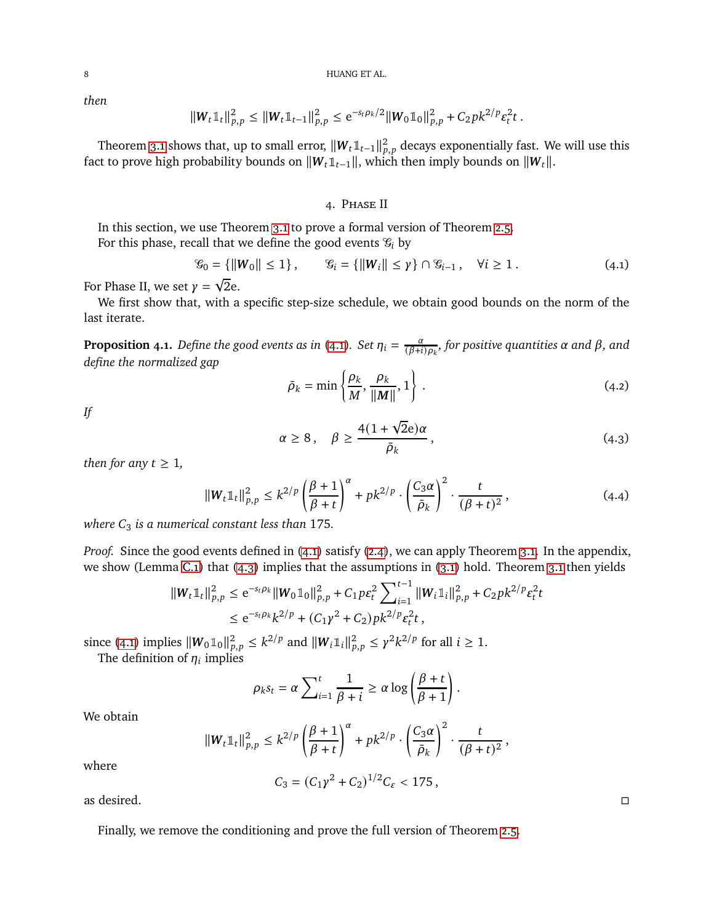*then*

$$
||W_t \mathbb{1}_t||_{p,p}^2 \leq ||W_t \mathbb{1}_{t-1}||_{p,p}^2 \leq e^{-s_t \rho_k/2} ||W_0 \mathbb{1}_0||_{p,p}^2 + C_2 p k^{2/p} \varepsilon_t^2 t.
$$

Theorem [3.1](#page-6-2) shows that, up to small error,  $||\bm{W}_t \mathbb{1}_{t-1}||_{p,p}^2$  decays exponentially fast. We will use this fact to prove high probability bounds on  $\|\mathbf{W}_t\|_{t-1}$ , which then imply bounds on  $\|\mathbf{W}_t\|$ .

### <span id="page-7-1"></span>4. Phase II

<span id="page-7-0"></span>In this section, we use Theorem [3.1](#page-6-3) to prove a formal version of Theorem [2.5.](#page-4-2) For this phase, recall that we define the good events  $\mathcal{C}_i$  by

$$
\mathcal{G}_0 = \{ ||W_0|| \le 1 \}, \qquad \mathcal{G}_i = \{ ||W_i|| \le \gamma \} \cap \mathcal{G}_{i-1}, \quad \forall i \ge 1. \tag{4.1}
$$

For Phase II, we set  $\gamma = \sqrt{2}e$ .

We first show that, with a specific step-size schedule, we obtain good bounds on the norm of the last iterate.

<span id="page-7-5"></span>**Proposition 4.1.** Define the good events as in [\(4.1\)](#page-7-1). Set  $\eta_i = \frac{\alpha}{(\beta+i)}$  $\frac{\alpha}{(\beta+i)\rho_k}$ , for positive quantities  $\alpha$  and  $\beta$ , and *define the normalized gap*

<span id="page-7-3"></span><span id="page-7-2"></span>
$$
\bar{\rho}_k = \min\left\{\frac{\rho_k}{M}, \frac{\rho_k}{\|M\|}, 1\right\} \tag{4.2}
$$

*If*

<span id="page-7-4"></span>
$$
\alpha \ge 8, \quad \beta \ge \frac{4(1+\sqrt{2}e)\alpha}{\bar{\rho}_k}, \tag{4.3}
$$

*then for any*  $t \geq 1$ *,* 

$$
\|W_t\mathbb{1}_t\|_{p,p}^2 \le k^{2/p} \left(\frac{\beta+1}{\beta+t}\right)^{\alpha} + pk^{2/p} \cdot \left(\frac{C_3 \alpha}{\bar{\rho}_k}\right)^2 \cdot \frac{t}{(\beta+t)^2},\tag{4.4}
$$

*where*  $C_3$  *is a numerical constant less than* 175*.* 

*Proof.* Since the good events defined in [\(4.1\)](#page-7-1) satisfy [\(2.4\)](#page-6-1), we can apply Theorem [3.1.](#page-6-3) In the appendix, we show (Lemma [C.1\)](#page-13-0) that [\(4.3\)](#page-7-2) implies that the assumptions in [\(3.1\)](#page-6-2) hold. Theorem [3.1](#page-6-3) then yields

$$
\|W_t \mathbb{1}_t\|_{p,p}^2 \le e^{-s_t \rho_k} \|W_0 \mathbb{1}_0\|_{p,p}^2 + C_1 p \varepsilon_t^2 \sum_{i=1}^{t-1} \|W_i \mathbb{1}_i\|_{p,p}^2 + C_2 p k^{2/p} \varepsilon_t^2 t
$$
  

$$
\le e^{-s_t \rho_k} k^{2/p} + (C_1 \gamma^2 + C_2) p k^{2/p} \varepsilon_t^2 t,
$$

since [\(4.1\)](#page-7-1) implies  $\|\mathbf{W}_0\mathbb{1}_0\|_{p,p}^2 \leq k^{2/p}$  and  $\|\mathbf{W}_i\mathbb{1}_i\|_{p,p}^2 \leq \gamma^2 k^{2/p}$  for all  $i \geq 1$ .

The definition of  $\eta_i$  implies

$$
\rho_k s_t = \alpha \sum_{i=1}^t \frac{1}{\beta + i} \geq \alpha \log \left( \frac{\beta + t}{\beta + 1} \right).
$$

We obtain

$$
\|W_t1\|_{p,p}^2 \leq k^{2/p} \left(\frac{\beta+1}{\beta+t}\right)^\alpha + pk^{2/p} \cdot \left(\frac{C_3\alpha}{\bar{\rho}_k}\right)^2 \cdot \frac{t}{(\beta+t)^2},
$$

where

 $C_3 = (C_1 \gamma^2 + C_2)^{1/2} C_{\varepsilon} < 175$ ,

as desired.  $\Box$ 

Finally, we remove the conditioning and prove the full version of Theorem [2.5.](#page-4-2)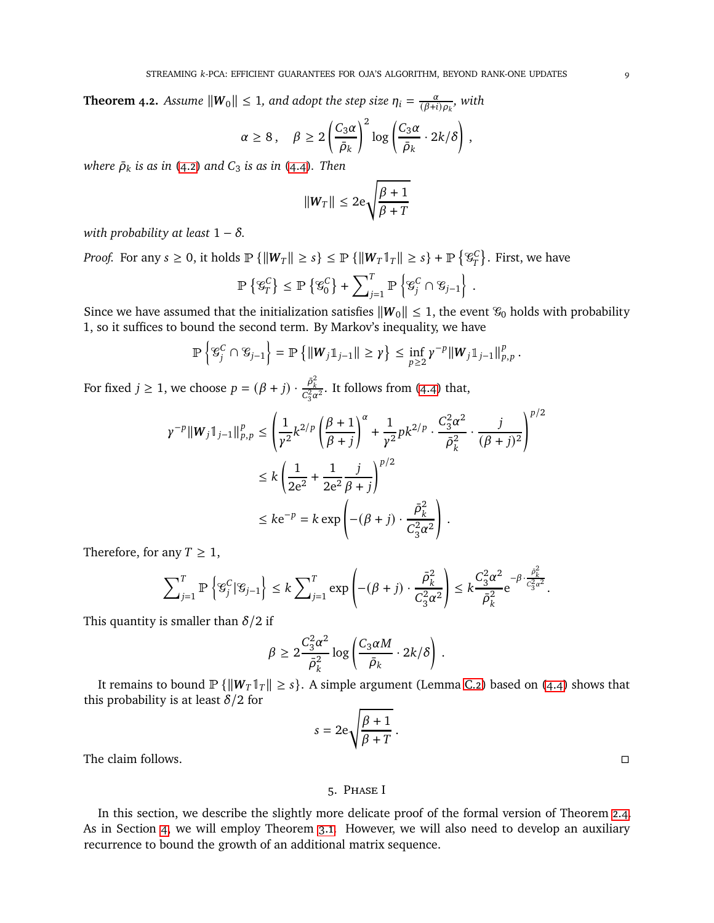**Theorem 4.2.** Assume  $\|W_0\| \leq 1$ , and adopt the step size  $\eta_i = \frac{\alpha}{(\beta + i)}$  $\frac{\alpha}{(\beta+i)\rho_k}$ , with

$$
\alpha \ge 8, \quad \beta \ge 2\left(\frac{C_3\alpha}{\bar{\rho}_k}\right)^2 \log\left(\frac{C_3\alpha}{\bar{\rho}_k} \cdot 2k/\delta\right),
$$

*where*  $\bar{\rho}_k$  *is as in* [\(4.2\)](#page-7-3) *and*  $C_3$  *is as in* [\(4.4\)](#page-7-4)*. Then* 

$$
||W_T|| \leq 2e\sqrt{\frac{\beta+1}{\beta+T}}
$$

*with probability at least*  $1 - \delta$ *.* 

*Proof.* For any  $s \geq 0$ , it holds  $\mathbb{P} \{ \|W_T\| \geq s \} \leq \mathbb{P} \{ \|W_T\|_T \| \geq s \} + \mathbb{P} \{ \mathcal{C}_T^C \}$ . First, we have

$$
\mathbb{P}\left\{ \mathcal{G}_{T}^{C}\right\} \leq \mathbb{P}\left\{ \mathcal{G}_{0}^{C}\right\} + \sum\nolimits_{j=1}^{T} \mathbb{P}\left\{ \mathcal{G}_{j}^{C}\cap\mathcal{G}_{j-1}\right\}
$$

.

Since we have assumed that the initialization satisfies  $\|\mathbf{W}_0\| \leq 1$ , the event  $\mathcal{C}_0$  holds with probability 1, so it suffices to bound the second term. By Markov's inequality, we have

$$
\mathbb{P}\left\{ \mathcal{G}_j^C \cap \mathcal{G}_{j-1} \right\} = \mathbb{P}\left\{ \left\| W_j \mathbb{1}_{j-1} \right\| \geq \gamma \right\} \leq \inf_{p \geq 2} \gamma^{-p} \left\| W_j \mathbb{1}_{j-1} \right\|_{p,p}^p.
$$

For fixed  $j \ge 1$ , we choose  $p = (\beta + j) \cdot \frac{\bar{\rho}_k^2}{C_3^2 \alpha^2}$ . It follows from [\(4.4\)](#page-7-4) that,

$$
\gamma^{-p} \|W_j \mathbb{1}_{j-1} \|_{p,p}^p \le \left(\frac{1}{\gamma^2} k^{2/p} \left(\frac{\beta+1}{\beta+j}\right)^\alpha + \frac{1}{\gamma^2} p k^{2/p} \cdot \frac{C_3^2 \alpha^2}{\bar{\rho}_k^2} \cdot \frac{j}{(\beta+j)^2}\right)^{p/2}
$$
  

$$
\le k \left(\frac{1}{2e^2} + \frac{1}{2e^2} \frac{j}{\beta+j}\right)^{p/2}
$$
  

$$
\le k e^{-p} = k \exp\left(-(\beta+j) \cdot \frac{\bar{\rho}_k^2}{C_3^2 \alpha^2}\right).
$$

Therefore, for any  $T \geq 1$ ,

$$
\sum\nolimits_{j=1}^T \mathbb{P}\left\{\mathcal{G}_j^C|\mathcal{G}_{j-1}\right\} \le k \sum\nolimits_{j=1}^T \exp\left(-(\beta+j)\cdot\frac{\bar{\rho}_k^2}{C_3^2\alpha^2}\right) \le k \frac{C_3^2\alpha^2}{\bar{\rho}_k^2}e^{-\beta\cdot\frac{\bar{\rho}_k^2}{C_3^2\alpha^2}}.
$$

This quantity is smaller than  $\delta/2$  if

$$
\beta \geq 2 \frac{C_3^2 \alpha^2}{\bar{\rho}_k^2} \log \left( \frac{C_3 \alpha M}{\bar{\rho}_k} \cdot 2k/\delta \right) .
$$

It remains to bound  $\mathbb{P}\{\Vert \mathbf{W}_T \Vert \geq s\}$ . A simple argument (Lemma [C.2\)](#page-13-1) based on [\(4.4\)](#page-7-4) shows that this probability is at least  $\delta/2$  for

$$
s = 2e\sqrt{\frac{\beta + 1}{\beta + T}}.
$$

<span id="page-8-0"></span>The claim follows.  $\square$ 

### 5. Phase I

In this section, we describe the slightly more delicate proof of the formal version of Theorem [2.4.](#page-4-1) As in Section [4,](#page-7-0) we will employ Theorem [3.1.](#page-6-3) However, we will also need to develop an auxiliary recurrence to bound the growth of an additional matrix sequence.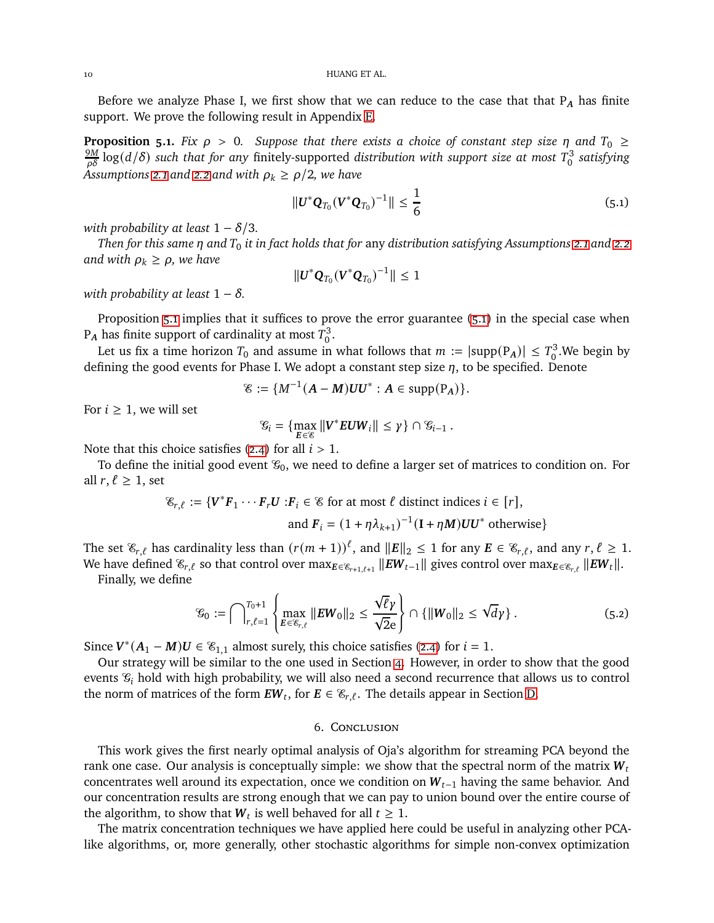Before we analyze Phase I, we first show that we can reduce to the case that that  $P_A$  has finite support. We prove the following result in Appendix [E.](#page-19-0)

<span id="page-9-1"></span>**Proposition 5.1.** *Fix*  $\rho > 0$ . *Suppose that there exists a choice of constant step size*  $\eta$  *and*  $T_0 \geq$  $\frac{9M}{\rho\delta}\log(d/\delta)$  such that for any finitely-supported distribution with support size at most  $T^3_0$ 0 *satisfying Assumptions* [2.1](#page-3-1) and [2.2](#page-3-2) and with  $\rho_k \ge \frac{\rho}{2}$ , we have

<span id="page-9-2"></span>
$$
\| \mathbf{U}^* \mathbf{Q}_{T_0} (\mathbf{V}^* \mathbf{Q}_{T_0})^{-1} \| \leq \frac{1}{6}
$$
 (5.1)

*with probability at least*  $1 - \delta/3$ *.* 

*Then for this same*  $\eta$  *and*  $T_0$  *it in fact holds that for any distribution satisfying Assumptions [2.1](#page-3-1) and [2.2](#page-3-2) and with*  $\rho_k \ge \rho$ *, we have* 

$$
||\mathbf{U}^* \mathbf{Q}_{T_0} (\mathbf{V}^* \mathbf{Q}_{T_0})^{-1}|| \leq 1
$$

*with probability at least*  $1 - \delta$ *.* 

Proposition [5.1](#page-9-1) implies that it suffices to prove the error guarantee [\(5.1\)](#page-9-2) in the special case when  $\mathrm{P}_{\mathrm{A}}$  has finite support of cardinality at most  $T_0^3$ .<br>0'

Let us fix a time horizon  $T_0$  and assume in what follows that  $m := |\text{supp}(P_A)| \leq T_0^3$  $_{0}^{13}$ .We begin by defining the good events for Phase I. We adopt a constant step size  $\eta$ , to be specified. Denote

$$
\mathscr{E}:=\{M^{-1}(A-M)UU^*: A\in \mathrm{supp}(\mathrm{P}_A)\}.
$$

For  $i \geq 1$ , we will set

$$
\mathcal{G}_i = \{ \max_{E \in \mathcal{E}} \| V^* E U W_i \| \leq \gamma \} \cap \mathcal{G}_{i-1} .
$$

Note that this choice satisfies [\(2.4\)](#page-6-1) for all  $i > 1$ .

To define the initial good event  $\mathcal{G}_0$ , we need to define a larger set of matrices to condition on. For all  $r, \ell \geq 1$ , set

$$
\mathscr{E}_{r,\ell} := \{ V^*F_1 \cdots F_r U : F_i \in \mathscr{E} \text{ for at most } \ell \text{ distinct indices } i \in [r],
$$

and 
$$
F_i = (1 + \eta \lambda_{k+1})^{-1} (I + \eta M) U U^*
$$
 otherwise}

The set  $\mathscr{E}_{r,\ell}$  has cardinality less than  $(r(m+1))^{\ell}$ , and  $||E||_2 \leq 1$  for any  $E \in \mathscr{E}_{r,\ell}$ , and any  $r, \ell \geq 1$ . We have defined  $\mathscr{E}_{r,\ell}$  so that control over  $\max_{E \in \mathscr{E}_{r+1,\ell+1}} \|EW_{t-1}\|$  gives control over  $\max_{E \in \mathscr{E}_{r,\ell}} \|EW_{t}\|$ .

Finally, we define

$$
\mathcal{G}_0 := \bigcap_{r,\ell=1}^{T_0+1} \left\{ \max_{E \in \mathcal{E}_{r,\ell}} \|EW_0 \|_2 \le \frac{\sqrt{\ell} \gamma}{\sqrt{2}e} \right\} \cap \{ \|W_0 \|_2 \le \sqrt{d} \gamma \} . \tag{5.2}
$$

Since  $V^*(A_1 - M)U \in \mathcal{E}_{1,1}$  almost surely, this choice satisfies [\(2.4\)](#page-6-1) for  $i = 1$ .

Our strategy will be similar to the one used in Section [4.](#page-7-0) However, in order to show that the good events  $\mathcal{G}_i$  hold with high probability, we will also need a second recurrence that allows us to control the norm of matrices of the form  $\mathbf{EW}_t$ , for  $\mathbf{E} \in \mathscr{C}_{r,\ell}$ . The details appear in Section [D.](#page-14-0)

### <span id="page-9-3"></span>6. Conclusion

<span id="page-9-0"></span>This work gives the first nearly optimal analysis of Oja's algorithm for streaming PCA beyond the rank one case. Our analysis is conceptually simple: we show that the spectral norm of the matrix  $W_t$ concentrates well around its expectation, once we condition on  $W_{t-1}$  having the same behavior. And our concentration results are strong enough that we can pay to union bound over the entire course of the algorithm, to show that  $W_t$  is well behaved for all  $t \geq 1$ .

The matrix concentration techniques we have applied here could be useful in analyzing other PCAlike algorithms, or, more generally, other stochastic algorithms for simple non-convex optimization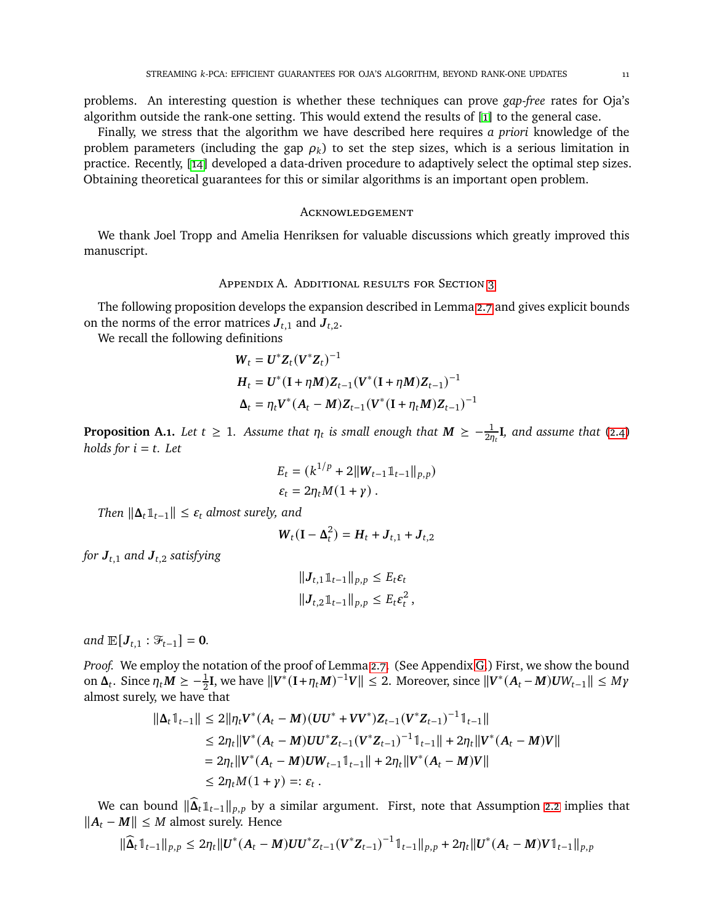problems. An interesting question is whether these techniques can prove *gap-free* rates for Oja's algorithm outside the rank-one setting. This would extend the results of [\[1\]](#page-26-2) to the general case.

Finally, we stress that the algorithm we have described here requires *a priori* knowledge of the problem parameters (including the gap  $\rho_k$ ) to set the step sizes, which is a serious limitation in practice. Recently, [\[14\]](#page-26-14) developed a data-driven procedure to adaptively select the optimal step sizes. Obtaining theoretical guarantees for this or similar algorithms is an important open problem.

#### **ACKNOWLEDGEMENT**

We thank Joel Tropp and Amelia Henriksen for valuable discussions which greatly improved this manuscript.

### Appendix A. Additional results for Section [3](#page-6-0)

The following proposition develops the expansion described in Lemma [2.7](#page-5-3) and gives explicit bounds on the norms of the error matrices  $J_{t,1}$  and  $J_{t,2}$ .

We recall the following definitions

$$
W_t = U^* Z_t (V^* Z_t)^{-1}
$$
  
\n
$$
H_t = U^* (I + \eta M) Z_{t-1} (V^* (I + \eta M) Z_{t-1})^{-1}
$$
  
\n
$$
\Delta_t = \eta_t V^* (A_t - M) Z_{t-1} (V^* (I + \eta_t M) Z_{t-1})^{-1}
$$

<span id="page-10-0"></span>**Proposition A.1.** Let  $t \geq 1$ . Assume that  $\eta_t$  is small enough that  $M \geq -\frac{1}{2\eta_t}I$ , and assume that [\(2.4\)](#page-6-1) *holds for*  $i = t$ *. Let* 

$$
E_t = (k^{1/p} + 2||W_{t-1}1||_{t-1}||_{p,p})
$$
  

$$
\varepsilon_t = 2\eta_t M(1+\gamma).
$$

*Then*  $\|\Delta_t\|_{t-1}\| \leq \varepsilon_t$  *almost surely, and* 

$$
\boldsymbol{W}_t(\mathbf{I}-\boldsymbol{\Delta}_t^2)=\boldsymbol{H}_t+\boldsymbol{J}_{t,1}+\boldsymbol{J}_{t,2}
$$

*for*  $J_{t,1}$  *and*  $J_{t,2}$  *satisfying* 

$$
||J_{t,1}1_{t-1}||_{p,p} \leq E_t \varepsilon_t
$$
  

$$
||J_{t,2}1_{t-1}||_{p,p} \leq E_t \varepsilon_t^2
$$

*and*  $\mathbb{E}[J_{t,1} : \mathcal{F}_{t-1}] = 0$ *.* 

*Proof.* We employ the notation of the proof of Lemma [2.7.](#page-5-3) (See Appendix [G.](#page-24-0)) First, we show the bound on  $\Delta_t$ . Since  $\eta_t M \ge -\frac{1}{2}I$ , we have  $||V^*(I + \eta_t M)^{-1}V|| \le 2$ . Moreover, since  $||V^*(A_t - M)UW_{t-1}|| \le M\gamma$ almost surely, we have that

$$
\begin{aligned} \|\Delta_t \mathbb{1}_{t-1}\| &\le 2\|\eta_t \boldsymbol{V}^*(A_t - M)(\boldsymbol{U}\boldsymbol{U}^* + \boldsymbol{V}\boldsymbol{V}^*)\boldsymbol{Z}_{t-1}(\boldsymbol{V}^*\boldsymbol{Z}_{t-1})^{-1}\mathbb{1}_{t-1}\| \\ &\le 2\eta_t \|\boldsymbol{V}^*(A_t - M)\boldsymbol{U}\boldsymbol{U}^*\boldsymbol{Z}_{t-1}(\boldsymbol{V}^*\boldsymbol{Z}_{t-1})^{-1}\mathbb{1}_{t-1}\| + 2\eta_t \|\boldsymbol{V}^*(A_t - M)\boldsymbol{V}\| \\ &= 2\eta_t \|\boldsymbol{V}^*(A_t - M)\boldsymbol{U}\boldsymbol{W}_{t-1}\mathbb{1}_{t-1}\| + 2\eta_t \|\boldsymbol{V}^*(A_t - M)\boldsymbol{V}\| \\ &\le 2\eta_t M(1 + \gamma) =: \varepsilon_t \ . \end{aligned}
$$

We can bound  $\|\widehat{\Delta}_t\mathbb{1}_{t-1}\|_{p,p}$  by a similar argument. First, note that Assumption [2.2](#page-3-2) implies that  $||A_t - M||$  ≤ *M* almost surely. Hence

$$
\|\widehat{\mathbf{A}}_t\mathbf{1}_{t-1}\|_{p,p} \leq 2\eta_t \|U^*(A_t-M)UU^*Z_{t-1}(V^*Z_{t-1})^{-1}\mathbf{1}_{t-1}\|_{p,p} + 2\eta_t \|U^*(A_t-M)V\mathbf{1}_{t-1}\|_{p,p}
$$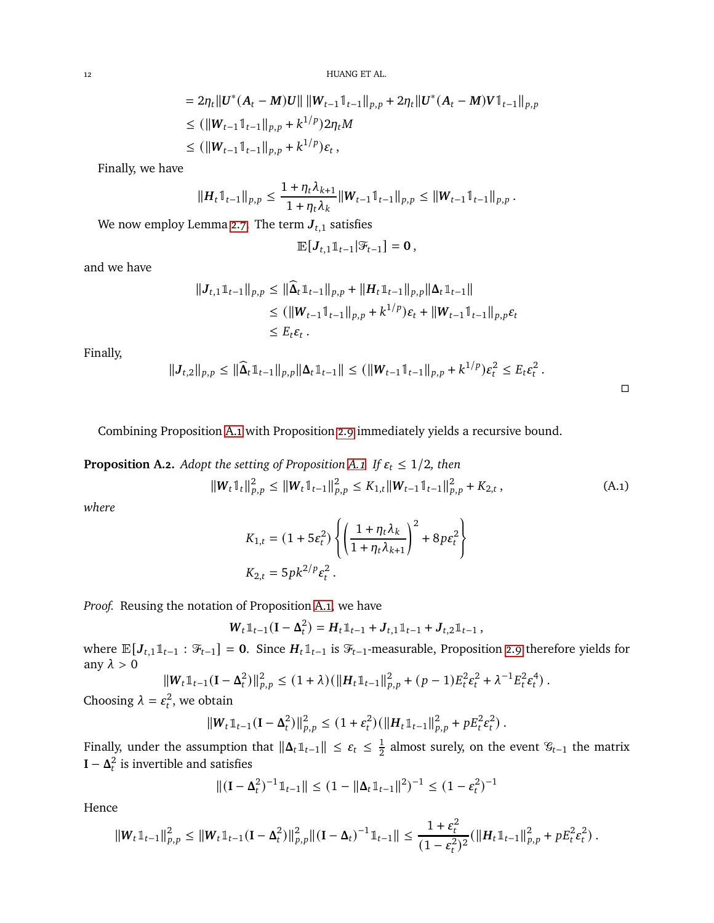$$
= 2\eta_t \|U^*(A_t - M)U\| \|W_{t-1}1_{t-1}\|_{p,p} + 2\eta_t \|U^*(A_t - M)U1_{t-1}\|_{p,p}
$$
  
\n
$$
\leq (\|W_{t-1}1_{t-1}\|_{p,p} + k^{1/p})2\eta_t M
$$
  
\n
$$
\leq (\|W_{t-1}1_{t-1}\|_{p,p} + k^{1/p})\varepsilon_t,
$$

Finally, we have

$$
||H_t \mathbb{1}_{t-1}||_{p,p} \leq \frac{1 + \eta_t \lambda_{k+1}}{1 + \eta_t \lambda_k} ||W_{t-1} \mathbb{1}_{t-1}||_{p,p} \leq ||W_{t-1} \mathbb{1}_{t-1}||_{p,p}.
$$

We now employ Lemma [2.7.](#page-5-3) The term  $J_{t,1}$  satisfies

$$
\mathbb{E}\big[J_{t,1}\mathbb{1}_{t-1}\big|\mathcal{F}_{t-1}\big]=\mathbf{0}\,,
$$

and we have

$$
||J_{t,1}1_{t-1}||_{p,p} \le ||\widehat{\Delta}_{t}1_{t-1}||_{p,p} + ||H_{t}1_{t-1}||_{p,p}||\Delta_{t}1_{t-1}||
$$
  
\n
$$
\le (||W_{t-1}1_{t-1}||_{p,p} + k^{1/p})\varepsilon_{t} + ||W_{t-1}1_{t-1}||_{p,p}\varepsilon_{t}
$$
  
\n
$$
\le E_{t}\varepsilon_{t}.
$$

Finally,

$$
||J_{t,2}||_{p,p} \leq ||\widehat{\Delta}_t \mathbb{1}_{t-1}||_{p,p} ||\Delta_t \mathbb{1}_{t-1}|| \leq (||W_{t-1} \mathbb{1}_{t-1}||_{p,p} + k^{1/p})\varepsilon_t^2 \leq E_t \varepsilon_t^2.
$$

Combining Proposition [A.1](#page-10-0) with Proposition [2.9](#page-6-4) immediately yields a recursive bound.

<span id="page-11-0"></span>**Proposition A.2.** *Adopt the setting of Proposition [A.1.](#page-10-0) If*  $\varepsilon_t \leq 1/2$ *, then* 

$$
\|W_t \mathbb{1}_t\|_{p,p}^2 \le \|W_t \mathbb{1}_{t-1}\|_{p,p}^2 \le K_{1,t} \|W_{t-1} \mathbb{1}_{t-1}\|_{p,p}^2 + K_{2,t}, \tag{A.1}
$$

*where*

<span id="page-11-1"></span>
$$
\begin{aligned} K_{1,t} &= (1 + 5\varepsilon_t^2) \left\{ \left( \frac{1 + \eta_t \lambda_k}{1 + \eta_t \lambda_{k+1}} \right)^2 + 8p\varepsilon_t^2 \right\} \\ K_{2,t} &= 5pk^{2/p}\varepsilon_t^2 \,. \end{aligned}
$$

*Proof.* Reusing the notation of Proposition [A.1,](#page-10-0) we have

$$
W_t \mathbb{1}_{t-1}(\mathbf{I}-\Delta_t^2) = H_t \mathbb{1}_{t-1} + J_{t,1} \mathbb{1}_{t-1} + J_{t,2} \mathbb{1}_{t-1},
$$

where  $\mathbb{E}[J_{t,1}\mathbb{1}_{t-1} : \mathcal{F}_{t-1}] = 0$ . Since  $H_t \mathbb{1}_{t-1}$  is  $\mathcal{F}_{t-1}$ -measurable, Proposition [2.9](#page-6-4) therefore yields for any  $\lambda > 0$ 

$$
\|W_t\mathbb{1}_{t-1}(I-\Delta_t^2)\|_{p,p}^2 \leq (1+\lambda)\left(\|H_t\mathbb{1}_{t-1}\|_{p,p}^2 + (p-1)E_t^2\varepsilon_t^2 + \lambda^{-1}E_t^2\varepsilon_t^4\right).
$$

Choosing 
$$
\lambda = \varepsilon_t^2
$$
, we obtain

$$
||W_t \mathbb{1}_{t-1} (I - \Delta_t^2)||_{p,p}^2 \leq (1 + \varepsilon_t^2) (||H_t \mathbb{1}_{t-1}||_{p,p}^2 + p E_t^2 \varepsilon_t^2).
$$

Finally, under the assumption that  $\|\mathbf{\Delta}_t\mathbb{1}_{t-1}\| \leq \varepsilon_t \leq \frac{1}{2}$  $\frac{1}{2}$  almost surely, on the event  $\mathscr{C}_{t-1}$  the matrix **I** −  $\Delta_t^2$  is invertible and satisfies

$$
\|(\mathbf{I} - \mathbf{\Delta}_t^2)^{-1} \mathbb{1}_{t-1}\| \le (1 - \|\mathbf{\Delta}_t \mathbb{1}_{t-1}\|^2)^{-1} \le (1 - \varepsilon_t^2)^{-1}
$$

Hence

$$
||W_t \mathbb{1}_{t-1}||_{p,p}^2 \leq ||W_t \mathbb{1}_{t-1} (I - \Delta_t^2) ||_{p,p}^2 ||(I - \Delta_t)^{-1} \mathbb{1}_{t-1} || \leq \frac{1 + \varepsilon_t^2}{(1 - \varepsilon_t^2)^2} (||H_t \mathbb{1}_{t-1}||_{p,p}^2 + p E_t^2 \varepsilon_t^2).
$$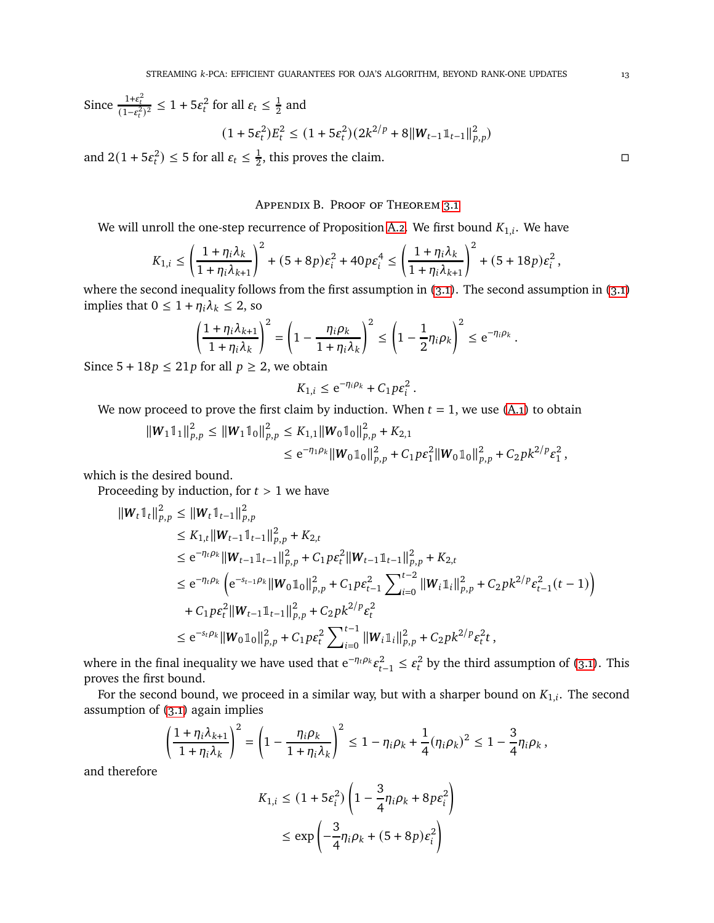Since  $\frac{1+\epsilon_t^2}{(1-\epsilon_t^2)^2} \leq 1 + 5\epsilon_t^2$  for all  $\epsilon_t \leq \frac{1}{2}$  $\frac{1}{2}$  and

$$
(1+5\varepsilon_t^2)E_t^2 \le (1+5\varepsilon_t^2)(2k^{2/p}+8||W_{t-1}\mathbb{1}_{t-1}||_{p,p}^2)
$$

<span id="page-12-0"></span>and  $2(1+5\varepsilon_t^2) \leq 5$  for all  $\varepsilon_t \leq \frac{1}{2}$  $\frac{1}{2}$ , this proves the claim.

### Appendix B. Proof of Theorem [3.1](#page-6-3)

We will unroll the one-step recurrence of Proposition [A.2.](#page-11-0) We first bound  $K_{1,i}$ . We have

$$
K_{1,i} \leq \left(\frac{1+\eta_i\lambda_k}{1+\eta_i\lambda_{k+1}}\right)^2 + (5+8p)\varepsilon_i^2 + 40p\varepsilon_i^4 \leq \left(\frac{1+\eta_i\lambda_k}{1+\eta_i\lambda_{k+1}}\right)^2 + (5+18p)\varepsilon_i^2,
$$

where the second inequality follows from the first assumption in  $(3.1)$ . The second assumption in  $(3.1)$ implies that  $0 \leq 1 + \eta_i \lambda_k \leq 2$ , so

$$
\left(\frac{1+\eta_i\lambda_{k+1}}{1+\eta_i\lambda_k}\right)^2 = \left(1-\frac{\eta_i\rho_k}{1+\eta_i\lambda_k}\right)^2 \le \left(1-\frac{1}{2}\eta_i\rho_k\right)^2 \le e^{-\eta_i\rho_k}.
$$

Since  $5 + 18p \le 21p$  for all  $p \ge 2$ , we obtain

$$
K_{1,i} \leq e^{-\eta_i \rho_k} + C_1 p \varepsilon_i^2
$$

.

We now proceed to prove the first claim by induction. When  $t = 1$ , we use [\(A.1\)](#page-11-1) to obtain

$$
\begin{aligned} ||W_1 \mathbb{1}_1||_{p,p}^2 &\leq ||W_1 \mathbb{1}_0||_{p,p}^2 \leq K_{1,1} ||W_0 \mathbb{1}_0||_{p,p}^2 + K_{2,1} \\ &\leq e^{-\eta_1 \rho_k} ||W_0 \mathbb{1}_0||_{p,p}^2 + C_1 p \varepsilon_1^2 ||W_0 \mathbb{1}_0||_{p,p}^2 + C_2 p k^{2/p} \varepsilon_1^2 \,, \end{aligned}
$$

which is the desired bound.

Proceeding by induction, for  $t > 1$  we have

$$
\begin{split} \|\boldsymbol{W}_{t}\mathbb{1}_{t}\|_{p,p}^{2} &\leq \|\boldsymbol{W}_{t}\mathbb{1}_{t-1}\|_{p,p}^{2} \\ &\leq K_{1,t}\|\boldsymbol{W}_{t-1}\mathbb{1}_{t-1}\|_{p,p}^{2}+K_{2,t} \\ &\leq \mathrm{e}^{-\eta_{t}\rho_{k}}\|\boldsymbol{W}_{t-1}\mathbb{1}_{t-1}\|_{p,p}^{2}+C_{1}p\epsilon_{t}^{2}\|\boldsymbol{W}_{t-1}\mathbb{1}_{t-1}\|_{p,p}^{2}+K_{2,t} \\ &\leq \mathrm{e}^{-\eta_{t}\rho_{k}}\left(\mathrm{e}^{-s_{t-1}\rho_{k}}\|\boldsymbol{W}_{0}\mathbb{1}_{0}\|_{p,p}^{2}+C_{1}p\epsilon_{t-1}^{2}\sum_{i=0}^{t-2}\|\boldsymbol{W}_{i}\mathbb{1}_{i}\|_{p,p}^{2}+C_{2}pk^{2/p}\epsilon_{t-1}^{2}(t-1)\right) \\ &+C_{1}p\epsilon_{t}^{2}\|\boldsymbol{W}_{t-1}\mathbb{1}_{t-1}\|_{p,p}^{2}+C_{2}pk^{2/p}\epsilon_{t}^{2} \\ &\leq \mathrm{e}^{-s_{t}\rho_{k}}\|\boldsymbol{W}_{0}\mathbb{1}_{0}\|_{p,p}^{2}+C_{1}p\epsilon_{t}^{2}\sum_{i=0}^{t-1}\|\boldsymbol{W}_{i}\mathbb{1}_{i}\|_{p,p}^{2}+C_{2}pk^{2/p}\epsilon_{t}^{2}t\,, \end{split}
$$

where in the final inequality we have used that  $e^{-\eta_t \rho_k} \varepsilon_{t-1}^2 \leq \varepsilon_t^2$  by the third assumption of [\(3.1\)](#page-6-2). This proves the first bound.

For the second bound, we proceed in a similar way, but with a sharper bound on  $K_{1,i}$ . The second assumption of [\(3.1\)](#page-6-2) again implies

$$
\left(\frac{1+\eta_i\lambda_{k+1}}{1+\eta_i\lambda_k}\right)^2 = \left(1-\frac{\eta_i\rho_k}{1+\eta_i\lambda_k}\right)^2 \leq 1-\eta_i\rho_k + \frac{1}{4}(\eta_i\rho_k)^2 \leq 1-\frac{3}{4}\eta_i\rho_k,
$$

and therefore

$$
K_{1,i} \le (1 + 5\epsilon_i^2) \left( 1 - \frac{3}{4} \eta_i \rho_k + 8p\epsilon_i^2 \right)
$$
  

$$
\le \exp\left( -\frac{3}{4} \eta_i \rho_k + (5 + 8p)\epsilon_i^2 \right)
$$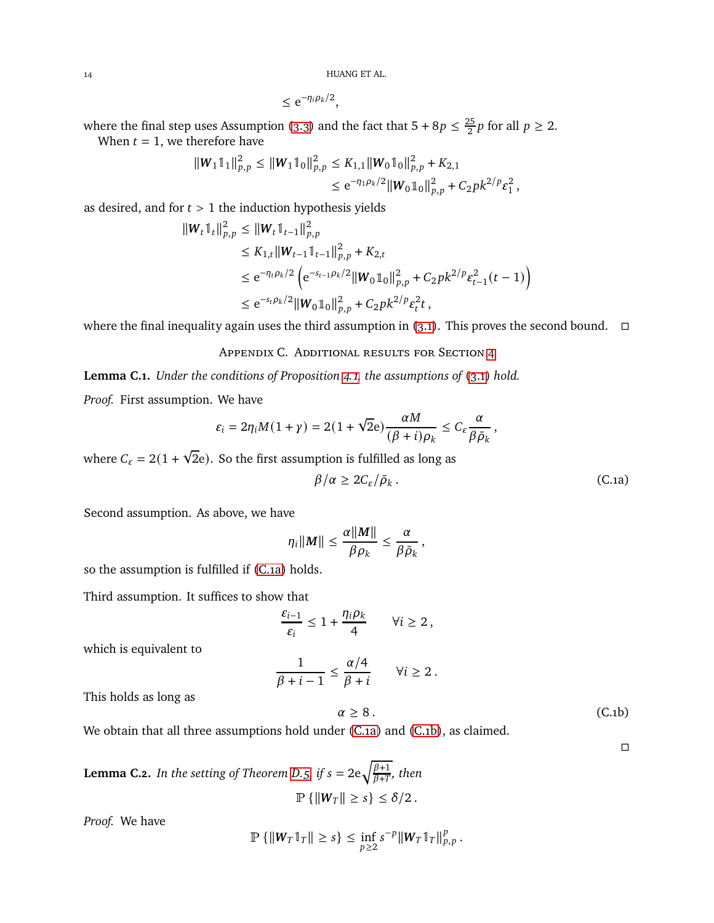$\leq e^{-\eta_i \rho_k/2},$ 

where the final step uses Assumption [\(3.3\)](#page-6-5) and the fact that  $5 + 8p \leq \frac{25}{2}$  $\frac{25}{2}p$  for all  $p \geq 2$ .

When  $t = 1$ , we therefore have

$$
\begin{aligned} ||W_1 \mathbb{1}_1||_{p,p}^2 &\leq ||W_1 \mathbb{1}_0||_{p,p}^2 \leq K_{1,1} ||W_0 \mathbb{1}_0||_{p,p}^2 + K_{2,1} \\ &\leq \mathrm{e}^{-\eta_1 \rho_k/2} ||W_0 \mathbb{1}_0||_{p,p}^2 + C_2 p k^{2/p} \varepsilon_1^2 \,, \end{aligned}
$$

as desired, and for  $t > 1$  the induction hypothesis yields

$$
\|W_t \mathbb{1}_t\|_{p,p}^2 \le \|W_t \mathbb{1}_{t-1}\|_{p,p}^2
$$
  
\n
$$
\le K_{1,t} \|W_{t-1} \mathbb{1}_{t-1}\|_{p,p}^2 + K_{2,t}
$$
  
\n
$$
\le e^{-\eta_t \rho_k/2} \left( e^{-s_{t-1}\rho_k/2} \|W_0 \mathbb{1}_0\|_{p,p}^2 + C_2 p k^{2/p} \varepsilon_{t-1}^2(t-1) \right)
$$
  
\n
$$
\le e^{-s_t \rho_k/2} \|W_0 \mathbb{1}_0\|_{p,p}^2 + C_2 p k^{2/p} \varepsilon_t^2 t,
$$

where the final inequality again uses the third assumption in [\(3.1\)](#page-6-2). This proves the second bound.  $\Box$ 

Appendix C. Additional results for Section [4](#page-7-0)

<span id="page-13-0"></span>**Lemma C.1.** *Under the conditions of Proposition [4.1,](#page-7-5) the assumptions of* [\(3.1\)](#page-6-2) *hold.*

*Proof.* First assumption. We have

$$
\varepsilon_i = 2\eta_i M(1+\gamma) = 2(1+\sqrt{2}\mathbf{e})\frac{\alpha M}{(\beta+i)\rho_k} \leq C_{\varepsilon} \frac{\alpha}{\beta \bar{\rho}_k},
$$

where  $C_{\varepsilon} = 2(1 + \sqrt{2}e)$ . So the first assumption is fulfilled as long as

$$
\beta/\alpha \ge 2C_{\varepsilon}/\bar{\rho}_k. \tag{C.1a}
$$

Second assumption. As above, we have

$$
\eta_i||\mathbf{M}|| \leq \frac{\alpha||\mathbf{M}||}{\beta \rho_k} \leq \frac{\alpha}{\beta \bar{\rho}_k},
$$

so the assumption is fulfilled if [\(C.1a\)](#page-13-2) holds.

Third assumption. It suffices to show that

$$
\frac{\varepsilon_{i-1}}{\varepsilon_i} \leq 1 + \frac{\eta_i \rho_k}{4} \qquad \forall i \geq 2,
$$

which is equivalent to

$$
\frac{1}{\beta + i - 1} \leq \frac{\alpha/4}{\beta + i} \qquad \forall i \geq 2.
$$

This holds as long as

$$
\alpha \ge 8. \tag{C.1b}
$$

<span id="page-13-3"></span><span id="page-13-2"></span> $\Box$ 

We obtain that all three assumptions hold under [\(C.1a\)](#page-13-2) and [\(C.1b\)](#page-13-3), as claimed.

<span id="page-13-1"></span>**Lemma C.2.** *In the setting of Theorem [D.5,](#page-18-0) if*  $s = 2e\sqrt{\frac{\beta+1}{\beta+T}}$  $\frac{p+1}{\beta+T}$ , then  $\mathbb{P}\left\{\left\|\boldsymbol{W}_T\right\| \geq s\right\} \leq \delta/2$ .

*Proof.* We have

$$
\mathbb{P}\left\{\|W_T\mathbb{1}_T\| \geq s\right\} \leq \inf_{p\geq 2} s^{-p} \|W_T\mathbb{1}_T\|_{p,p}^p.
$$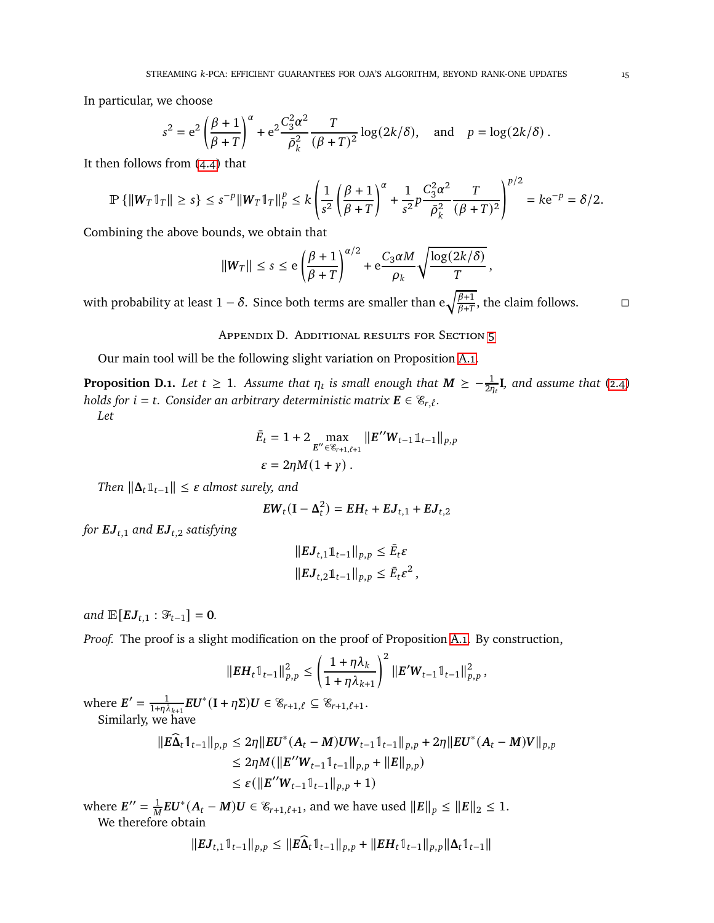In particular, we choose

$$
s^{2} = e^{2} \left( \frac{\beta + 1}{\beta + T} \right)^{\alpha} + e^{2} \frac{C_{3}^{2} \alpha^{2}}{\bar{\rho}_{k}^{2}} \frac{T}{(\beta + T)^{2}} \log(2k/\delta), \text{ and } p = \log(2k/\delta).
$$

It then follows from [\(4.4\)](#page-7-4) that

$$
\mathbb{P}\left\{\|W_T\mathbb{1}_T\| \geq s\right\} \leq s^{-p} \|W_T\mathbb{1}_T\|_p^p \leq k \left(\frac{1}{s^2} \left(\frac{\beta+1}{\beta+T}\right)^{\alpha} + \frac{1}{s^2} p \frac{C_3^2 \alpha^2}{\bar{\rho}_k^2} \frac{T}{(\beta+T)^2}\right)^{p/2} = k e^{-p} = \delta/2.
$$

Combining the above bounds, we obtain that

$$
\|W_T\| \leq s \leq e \left(\frac{\beta+1}{\beta+T}\right)^{\alpha/2} + e\frac{C_3\alpha M}{\rho_k} \sqrt{\frac{\log(2k/\delta)}{T}},
$$

<span id="page-14-0"></span>with probability at least 1 –  $\delta.$  Since both terms are smaller than  $\text{e}\sqrt{\frac{\beta+1}{\beta+T}}$  $\frac{\beta+1}{\beta+T}$ , the claim follows.  $\qquad \Box$ 

Appendix D. Additional results for Section [5](#page-8-0)

Our main tool will be the following slight variation on Proposition [A.1.](#page-10-0)

<span id="page-14-1"></span>**Proposition D.1.** Let  $t \geq 1$ . Assume that  $\eta_t$  is small enough that  $M \geq -\frac{1}{2\eta_t} I$ , and assume that [\(2.4\)](#page-6-1) *holds for*  $i = t$ *. Consider an arbitrary deterministic matrix*  $\mathbf{E} \in \mathscr{E}_{r,\ell}$ *. Let*

$$
\bar{E}_t = 1 + 2 \max_{E'' \in \mathscr{C}_{r+1,\ell+1}} \|E'' W_{t-1} \mathbb{1}_{t-1}\|_{p,p} \n\varepsilon = 2\eta M (1 + \gamma).
$$

*Then*  $\|\Delta_t\mathbb{1}_{t-1}\| \leq \varepsilon$  *almost surely, and* 

$$
EW_t(I - \Delta_t^2) = EH_t + EJ_{t,1} + EJ_{t,2}
$$

*for*  $EJ_{t,1}$  *and*  $EJ_{t,2}$  *satisfying* 

$$
||EJ_{t,1}1\mathbb{1}_{t-1}||_{p,p} \leq \bar{E}_t \varepsilon
$$
  

$$
||EJ_{t,2}1\mathbb{1}_{t-1}||_{p,p} \leq \bar{E}_t \varepsilon^2,
$$

*and*  $\mathbb{E}[EJ_{t,1} : \mathcal{F}_{t-1}] = 0$ *.* 

*Proof.* The proof is a slight modification on the proof of Proposition [A.1.](#page-10-0) By construction,

$$
||EH_t 1_{t-1}||_{p,p}^2 \leq \left(\frac{1+\eta\lambda_k}{1+\eta\lambda_{k+1}}\right)^2 ||E'W_{t-1}1_{t-1}||_{p,p}^2,
$$

where  $E' = \frac{1}{1+n^2}$  $\frac{1}{1+\eta\lambda_{k+1}}EU^*(\mathbf{I}+\eta\Sigma)U\in\mathscr{C}_{r+1,\ell}\subseteq\mathscr{C}_{r+1,\ell+1}.$ Similarly, we have

$$
\begin{aligned} ||E\widehat{\Delta}_t \mathbb{1}_{t-1}||_{p,p} &\le 2\eta ||EU^*(A_t - M)UW_{t-1} \mathbb{1}_{t-1}||_{p,p} + 2\eta ||EU^*(A_t - M)V||_{p,p} \\ &\le 2\eta M (||E''W_{t-1} \mathbb{1}_{t-1}||_{p,p} + ||E||_{p,p}) \\ &\le \varepsilon (||E''W_{t-1} \mathbb{1}_{t-1}||_{p,p} + 1) \end{aligned}
$$

where  $E^{\prime\prime} = \frac{1}{M}$  $\frac{1}{M}EU^*(A_t - M)U \in \mathcal{C}_{r+1,\ell+1}$ , and we have used  $||E||_p \le ||E||_2 \le 1$ . We therefore obtain

$$
||EJ_{t,1}\mathbb{1}_{t-1}||_{p,p} \leq ||E\widehat{\Delta}_t\mathbb{1}_{t-1}||_{p,p} + ||EH_t\mathbb{1}_{t-1}||_{p,p}||\Delta_t\mathbb{1}_{t-1}||_{p,p}
$$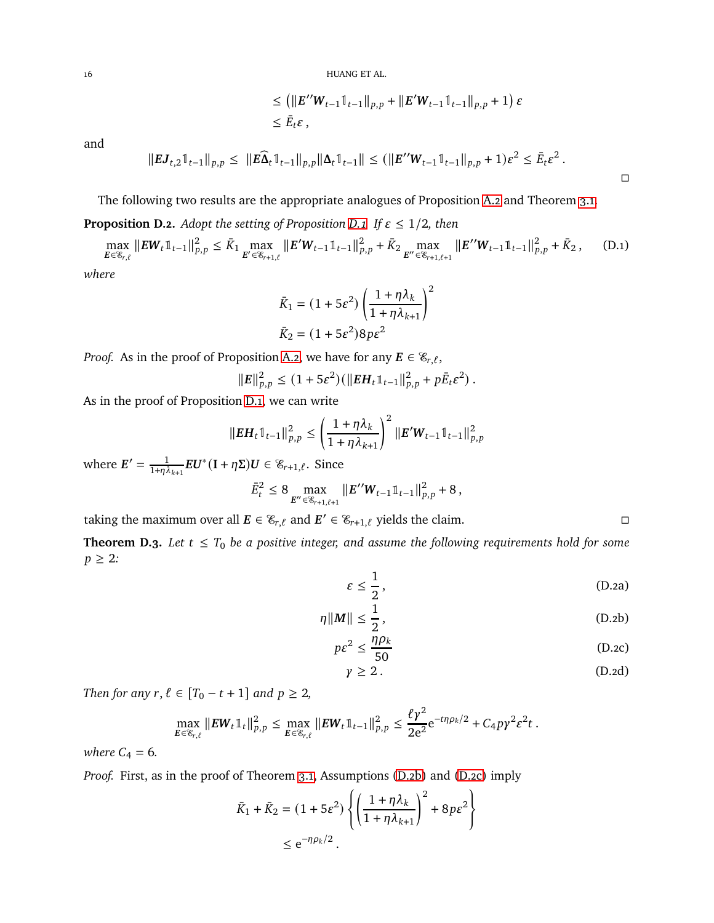$$
\leq \left( \left\| E''W_{t-1} \mathbb{1}_{t-1} \right\|_{p,p} + \left\| E'W_{t-1} \mathbb{1}_{t-1} \right\|_{p,p} + 1 \right) \varepsilon
$$
  

$$
\leq \bar{E}_t \varepsilon,
$$

and

$$
||EJ_{t,2}1_{t-1}||_{p,p} \leq ||E\widehat{\Delta}_t 1_{t-1}||_{p,p}||\Delta_t 1_{t-1}|| \leq (||E''W_{t-1}1_{t-1}||_{p,p}+1)\varepsilon^2 \leq \bar{E}_t\varepsilon^2.
$$

The following two results are the appropriate analogues of Proposition [A.2](#page-11-0) and Theorem [3.1.](#page-6-3)

**Proposition D.2.** *Adopt the setting of Proposition [D.1.](#page-14-1) If*  $\varepsilon \leq 1/2$ *, then* 

max  $\max_{E \in \mathcal{E}_{r,\ell}} \| E W_t \mathbb{1}_{t-1} \|_{p,p}^2 \leq \bar{K}_1 \max_{E' \in \mathcal{E}_{r+1,\ell}} \| E' W_{t-1} \mathbb{1}_{t-1} \|_{p,p}^2 + \bar{K}_2 \max_{E'' \in \mathcal{E}_{r+1,\ell+1}} \| E'' W_{t-1} \mathbb{1}_{t-1} \|_{p,p}^2 + \bar{K}_2$ , (D.1)

*where*

$$
\bar{K}_1 = (1 + 5\varepsilon^2) \left( \frac{1 + \eta \lambda_k}{1 + \eta \lambda_{k+1}} \right)^2
$$
  

$$
\bar{K}_2 = (1 + 5\varepsilon^2) 8p\varepsilon^2
$$

*Proof.* As in the proof of Proposition [A.2,](#page-11-0) we have for any  $\mathbf{E} \in \mathscr{E}_{r,\ell}$ ,

$$
||E||_{p,p}^2 \le (1+5\varepsilon^2)(||EH_t \mathbb{1}_{t-1}||_{p,p}^2 + p\bar{E}_t \varepsilon^2).
$$

As in the proof of Proposition [D.1,](#page-14-1) we can write

$$
\|E H_t \mathbb{1}_{t-1} \|^2_{p,p} \le \left(\frac{1 + \eta \lambda_k}{1 + \eta \lambda_{k+1}}\right)^2 \|E' W_{t-1} \mathbb{1}_{t-1} \|^2_{p,p}
$$

where  $E' = \frac{1}{1+n^2}$  $\frac{1}{1+\eta\lambda_{k+1}}EU^*(I+\eta\Sigma)U \in \mathscr{E}_{r+1,\ell}$ . Since

$$
\bar{E}_t^2 \le 8 \max_{E'' \in \mathscr{E}_{r+1,\ell+1}} \|E'' \mathbf{W}_{t-1} \mathbb{1}_{t-1} \|_{p,p}^2 + 8,
$$

taking the maximum over all  $E \in \mathcal{E}_{r,\ell}$  and  $E' \in \mathcal{E}_{r+1,\ell}$  yields the claim.

<span id="page-15-5"></span>**Theorem D.3.** Let  $t \leq T_0$  be a positive integer, and assume the following requirements hold for some  $p \geq 2$ :

$$
\varepsilon \le \frac{1}{2},\tag{D.2a}
$$

$$
\eta \|M\| \le \frac{1}{2},\tag{D.2b}
$$

$$
p\varepsilon^2 \le \frac{\eta \rho_k}{50} \tag{D.2c}
$$

$$
\gamma \geq 2. \tag{D.2d}
$$

*Then for any*  $r, \ell \in [T_0 - t + 1]$  *and*  $p \geq 2$ *,* 

$$
\max_{E \in \mathscr{E}_{r,\ell}} \|EW_t \mathbb{1}_t \|^2_{p,p} \leq \max_{E \in \mathscr{E}_{r,\ell}} \|EW_t \mathbb{1}_{t-1} \|^2_{p,p} \leq \frac{\ell \gamma^2}{2e^2} e^{-t\eta \rho_k/2} + C_4 p \gamma^2 \varepsilon^2 t.
$$

*where*  $C_4 = 6$ *.* 

*Proof.* First, as in the proof of Theorem [3.1,](#page-6-3) Assumptions [\(D.2b\)](#page-15-0) and [\(D.2c\)](#page-15-1) imply

$$
\bar{K}_1 + \bar{K}_2 = (1 + 5\epsilon^2) \left\{ \left( \frac{1 + \eta \lambda_k}{1 + \eta \lambda_{k+1}} \right)^2 + 8p\epsilon^2 \right\}
$$
  

$$
\leq e^{-\eta \rho_k/2}.
$$

<span id="page-15-4"></span><span id="page-15-2"></span><span id="page-15-1"></span><span id="page-15-0"></span>

<span id="page-15-3"></span> $\Box$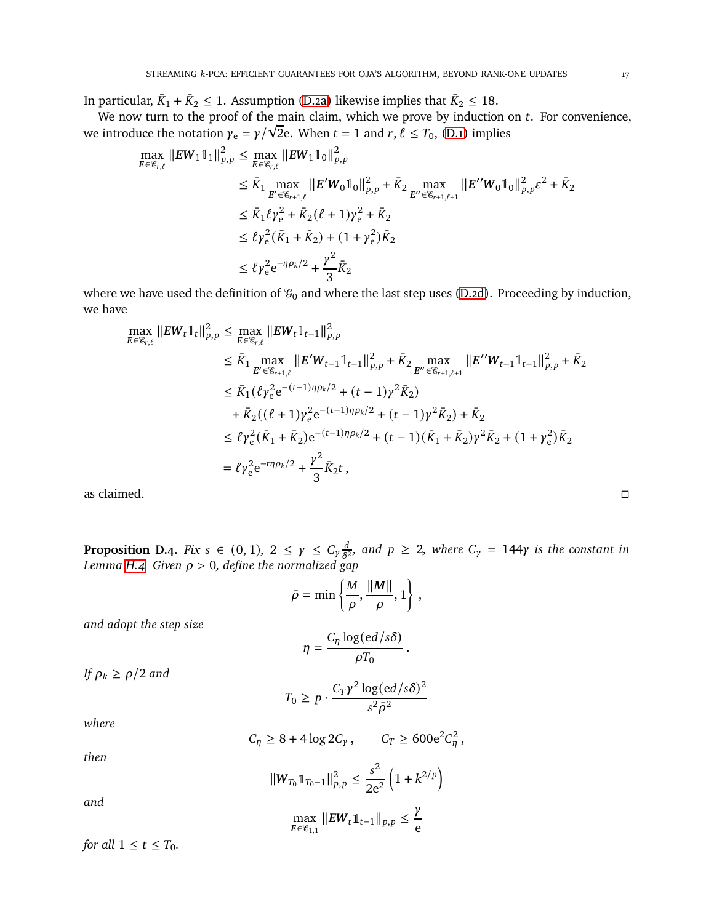In particular,  $\bar{K}_1 + \bar{K}_2 \le 1$ . Assumption [\(D.2a\)](#page-15-2) likewise implies that  $\bar{K}_2 \le 18$ .

We now turn to the proof of the main claim, which we prove by induction on  $t$ . For convenience, We introduce the notation  $\gamma_e = \gamma/\sqrt{2}e$ . When  $t = 1$  and  $r, \ell \le T_0$ , [\(D.1\)](#page-15-3) implies

$$
\max_{E \in \mathcal{E}_{r,\ell}} \|EW_1 \mathbb{1}_1 \|_{p,p}^2 \le \max_{E \in \mathcal{E}_{r,\ell}} \|EW_1 \mathbb{1}_0 \|_{p,p}^2
$$
\n
$$
\le \bar{K}_1 \max_{E' \in \mathcal{E}_{r+1,\ell}} \|E'W_0 \mathbb{1}_0\|_{p,p}^2 + \bar{K}_2 \max_{E'' \in \mathcal{E}_{r+1,\ell+1}} \|E''W_0 \mathbb{1}_0\|_{p,p}^2 \varepsilon^2 + \bar{K}_2
$$
\n
$$
\le \bar{K}_1 \ell \gamma_e^2 + \bar{K}_2 (\ell+1) \gamma_e^2 + \bar{K}_2
$$
\n
$$
\le \ell \gamma_e^2 (\bar{K}_1 + \bar{K}_2) + (1 + \gamma_e^2) \bar{K}_2
$$
\n
$$
\le \ell \gamma_e^2 e^{-\eta \rho_k/2} + \frac{\gamma^2}{3} \bar{K}_2
$$

where we have used the definition of  $\mathcal{G}_0$  and where the last step uses [\(D.2d\)](#page-15-4). Proceeding by induction, we have

$$
\max_{E \in \mathcal{E}_{r,\ell}} \|E \mathbf{W}_t \mathbb{1}_t\|_{p,p}^2 \le \max_{E \in \mathcal{E}_{r,\ell}} \|E \mathbf{W}_t \mathbb{1}_{t-1}\|_{p,p}^2
$$
\n
$$
\le \bar{K}_1 \max_{E' \in \mathcal{E}_{r+1,\ell}} \|E' \mathbf{W}_{t-1} \mathbb{1}_{t-1}\|_{p,p}^2 + \bar{K}_2 \max_{E'' \in \mathcal{E}_{r+1,\ell+1}} \|E'' \mathbf{W}_{t-1} \mathbb{1}_{t-1}\|_{p,p}^2 + \bar{K}_2
$$
\n
$$
\le \bar{K}_1 (\ell \gamma_e^2 e^{-(t-1)\eta \rho_k/2} + (t-1) \gamma^2 \bar{K}_2)
$$
\n
$$
+ \bar{K}_2 ((\ell+1) \gamma_e^2 e^{-(t-1)\eta \rho_k/2} + (t-1) \gamma^2 \bar{K}_2) + \bar{K}_2
$$
\n
$$
\le \ell \gamma_e^2 (\bar{K}_1 + \bar{K}_2) e^{-(t-1)\eta \rho_k/2} + (t-1) (\bar{K}_1 + \bar{K}_2) \gamma^2 \bar{K}_2 + (1 + \gamma_e^2) \bar{K}_2
$$
\n
$$
= \ell \gamma_e^2 e^{-t\eta \rho_k/2} + \frac{\gamma^2}{3} \bar{K}_2 t,
$$
\nas claimed.

<span id="page-16-0"></span>**Proposition D.4.** *Fix*  $s \in (0, 1)$ ,  $2 \leq \gamma \leq C_{\gamma} \frac{d}{\delta^2}$  $\frac{d}{\delta^2}$ , and  $p \geq 2$ , where  $C_\gamma = 144\gamma$  is the constant in *Lemma [H.4.](#page-25-0) Given* 𝜌 > 0*, define the normalized gap*

$$
\bar{\rho} = \min \left\{ \frac{M}{\rho}, \frac{\|\mathbf{M}\|}{\rho}, 1 \right\},\
$$

*and adopt the step size*

$$
\eta = \frac{C_{\eta} \log(ed/s\delta)}{\rho T_0}.
$$

*If*  $\rho_k \geq \rho/2$  *and* 

$$
T_0 \ge p \cdot \frac{C_T \gamma^2 \log(ed/s\delta)^2}{s^2 \bar{\rho}^2}
$$

*where*

$$
C_{\eta} \geq 8 + 4\log 2C_{\gamma}, \qquad C_{T} \geq 600e^2C_{\eta}^2,
$$

*then*

*and*

$$
\|\mathbf{W}_{T_0}\mathbb{1}_{T_0-1}\|_{p,p}^2 \le \frac{s^2}{2e^2} \left(1 + k^{2/p}\right)
$$

$$
\max_{E \in \mathscr{C}_{1,1}} \|EW_t \mathbb{1}_{t-1} \|_{p,p} \leq \frac{R}{e}
$$

*for all*  $1 \le t \le T_0$ *.*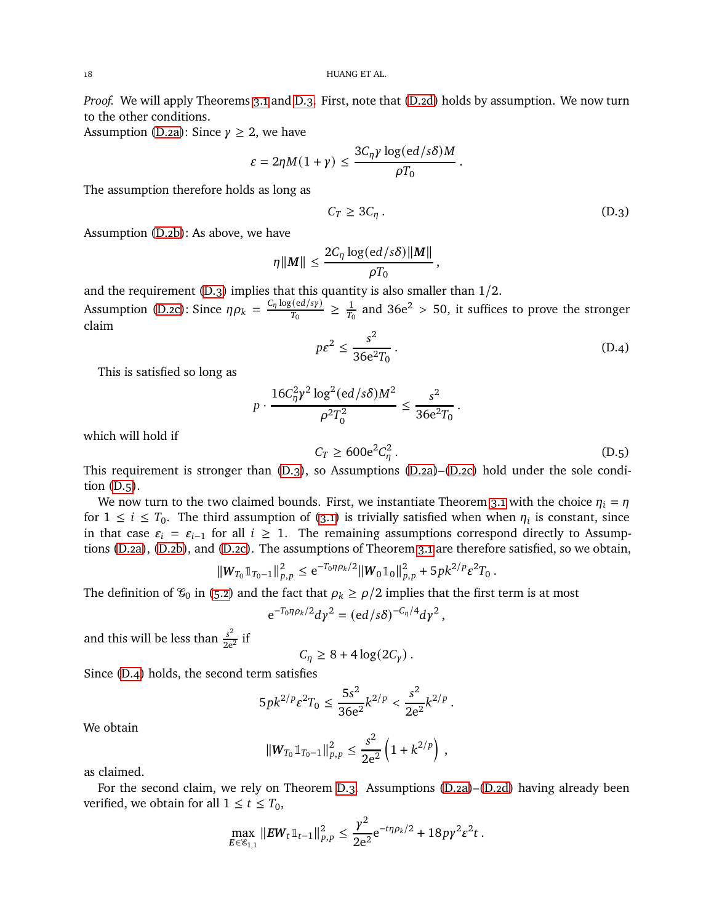*Proof.* We will apply Theorems [3.1](#page-6-3) and [D.3.](#page-15-5) First, note that [\(D.2d\)](#page-15-4) holds by assumption. We now turn to the other conditions.

Assumption [\(D.2a\)](#page-15-2): Since  $\gamma \geq 2$ , we have

$$
\varepsilon = 2\eta M(1+\gamma) \le \frac{3C_{\eta}\gamma \log(ed/s\delta)M}{\rho T_0}
$$

The assumption therefore holds as long as

$$
C_T \ge 3C_\eta \,. \tag{D.3}
$$

<span id="page-17-0"></span>.

,

Assumption [\(D.2b\)](#page-15-0): As above, we have

$$
\eta||M|| \leq \frac{2C_{\eta} \log(ed/s\delta)||M||}{\rho T_0}
$$

and the requirement [\(D.3\)](#page-17-0) implies that this quantity is also smaller than 1/2.

Assumption [\(D.2c\)](#page-15-1): Since  $\eta \rho_k = \frac{C_{\eta} \log(ed/sy)}{T_0}$  $\frac{T_0}{T_0}$   $\geq \frac{1}{T_0}$  $\frac{1}{T_0}$  and 36e<sup>2</sup> > 50, it suffices to prove the stronger claim

$$
p\varepsilon^2 \le \frac{s^2}{36e^2T_0} \,. \tag{D.4}
$$

This is satisfied so long as

$$
p \cdot \frac{16C_{\eta}^{2}\gamma^{2}\log^{2}(ed/s\delta)M^{2}}{\rho^{2}T_{0}^{2}} \le \frac{s^{2}}{36e^{2}T_{0}}
$$

which will hold if

$$
C_T \ge 600e^2C_\eta^2. \tag{D.5}
$$

<span id="page-17-2"></span><span id="page-17-1"></span>.

This requirement is stronger than [\(D.3\)](#page-17-0), so Assumptions [\(D.2a\)](#page-15-2)–[\(D.2c\)](#page-15-1) hold under the sole condition [\(D.5\)](#page-17-1).

We now turn to the two claimed bounds. First, we instantiate Theorem [3.1](#page-6-3) with the choice  $\eta_i = \eta$ for  $1 \le i \le T_0$ . The third assumption of [\(3.1\)](#page-6-2) is trivially satisfied when when  $\eta_i$  is constant, since in that case  $\varepsilon_i = \varepsilon_{i-1}$  for all  $i \geq 1$ . The remaining assumptions correspond directly to Assumptions [\(D.2a\)](#page-15-2), [\(D.2b\)](#page-15-0), and [\(D.2c\)](#page-15-1). The assumptions of Theorem [3.1](#page-6-3) are therefore satisfied, so we obtain,

$$
\|W_{T_0}\mathbb{1}_{T_0-1}\|_{p,p}^2 \leq e^{-T_0\eta\rho_k/2} \|W_0\mathbb{1}_0\|_{p,p}^2 + 5pk^{2/p}\varepsilon^2 T_0.
$$

The definition of  $\mathcal{G}_0$  in [\(5.2\)](#page-9-3) and the fact that  $\rho_k \geq \rho/2$  implies that the first term is at most

$$
e^{-T_0\eta\rho_k/2}d\gamma^2=(ed/s\delta)^{-C_\eta/4}d\gamma^2,
$$

and this will be less than  $\frac{s^2}{2a}$  $rac{s}{2e^2}$  if

$$
C_{\eta} \geq 8 + 4 \log(2C_{\gamma}).
$$

Since [\(D.4\)](#page-17-2) holds, the second term satisfies

$$
5pk^{2/p}\varepsilon^2T_0 \leq \frac{5s^2}{36e^2}k^{2/p} < \frac{s^2}{2e^2}k^{2/p}.
$$

We obtain

$$
\|W_{T_0}1\|_{T_0-1}\|_{p,p}^2 \leq \frac{s^2}{2e^2} \left(1 + k^{2/p}\right),
$$

as claimed.

For the second claim, we rely on Theorem [D.3.](#page-15-5) Assumptions [\(D.2a\)](#page-15-2)–[\(D.2d\)](#page-15-4) having already been verified, we obtain for all  $1 \le t \le T_0$ ,

$$
\max_{E \in \mathscr{E}_{1,1}} \|EW_t \mathbb{1}_{t-1} \|^2_{p,p} \leq \frac{\gamma^2}{2e^2} e^{-t\eta \rho_k/2} + 18p\gamma^2 \varepsilon^2 t.
$$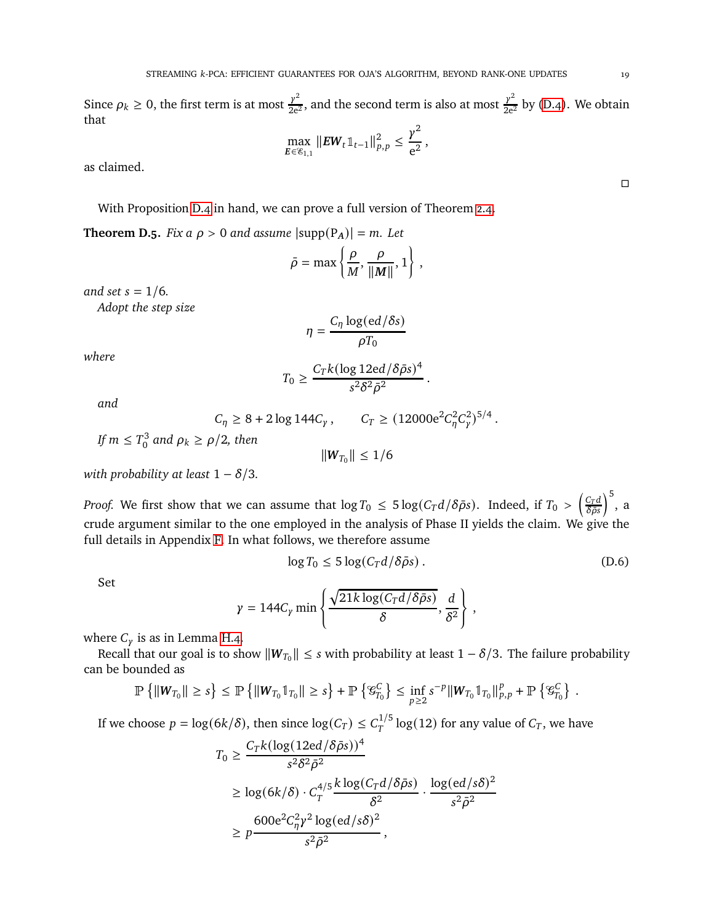Since  $\rho_k \ge 0$ , the first term is at most  $\frac{y^2}{2e^2}$  $\frac{y^2}{2e^2}$ , and the second term is also at most  $\frac{y^2}{2e^2}$  by [\(D.4\)](#page-17-2). We obtain that  $\mathcal{L}$ 

$$
\max_{E \in \mathscr{C}_{1,1}} \|EW_t \mathbb{1}_{t-1} \|^2_{p,p} \leq \frac{\gamma^2}{e^2},
$$

as claimed.

With Proposition [D.4](#page-16-0) in hand, we can prove a full version of Theorem [2.4.](#page-4-1)

<span id="page-18-0"></span>**Theorem D.5.** *Fix a*  $\rho > 0$  *and assume*  $|\text{supp}(P_A)| = m$ *. Let* 

$$
\bar{\rho} = \max \left\{ \frac{\rho}{M}, \frac{\rho}{\|M\|}, 1 \right\},\,
$$

*and set*  $s = 1/6$ *.* 

*Adopt the step size*

$$
\eta = \frac{C_{\eta} \log(ed/\delta s)}{\rho T_0}
$$

*where*

$$
T_0 \ge \frac{C_T k (\log 12\mathrm{e}d/\delta\bar{\rho} s)^4}{s^2 \delta^2 \bar{\rho}^2}
$$

*and*

$$
C_{\eta} \ge 8 + 2 \log 144 C_{\gamma}, \qquad C_{T} \ge (12000 e^{2} C_{\eta}^{2} C_{\gamma}^{2})^{5/4}.
$$

*If*  $m \leq T_0^3$  $\int_0^3$  and  $\rho_k \ge \rho/2$ , then

$$
\|\boldsymbol{W}_{T_0}\| \leq 1/6
$$

*with probability at least*  $1 - \delta/3$ *.* 

*Proof.* We first show that we can assume that  $\log T_0 \leq 5 \log(C_T d/\delta \bar\rho s)$ . Indeed, if  $T_0 > \left(\frac{C_T d}{\delta \bar\rho s}\right)$  $\delta\bar\rho s$  $\big)^{5}$ , a crude argument similar to the one employed in the analysis of Phase II yields the claim. We give the full details in Appendix [F.](#page-22-0) In what follows, we therefore assume

$$
\log T_0 \le 5 \log(C_T d/\delta \bar{\rho} s). \tag{D.6}
$$

<span id="page-18-1"></span>,

.

Set

$$
\gamma = 144C_{\gamma} \min \left\{ \frac{\sqrt{21k \log(C_{T}d/\delta \bar{\rho}s)}}{\delta}, \frac{d}{\delta^{2}} \right\}
$$

where  $C_{\gamma}$  is as in Lemma [H.4.](#page-25-0)

Recall that our goal is to show  $\|W_{T_0}\| \leq s$  with probability at least  $1 - \delta/3$ . The failure probability can be bounded as

$$
\mathbb{P}\left\{\|W_{T_0}\| \geq s\right\} \leq \mathbb{P}\left\{\|W_{T_0}\mathbb{1}_{T_0}\| \geq s\right\} + \mathbb{P}\left\{\mathcal{G}_{T_0}^C\right\} \leq \inf_{p\geq 2} s^{-p} \|W_{T_0}\mathbb{1}_{T_0}\|_{p,p}^p + \mathbb{P}\left\{\mathcal{G}_{T_0}^C\right\}.
$$

If we choose  $p = \log(6k/\delta)$ , then since  $\log(C_T) \leq C_T^{1/5} \log(12)$  for any value of  $C_T$ , we have

 $\sigma$   $\frac{1}{4}$   $(10, 18)$ 

$$
T_0 \ge \frac{C_T k (\log(12ed/\delta \rho s))^2}{s^2 \delta^2 \bar{\rho}^2}
$$
  
\n
$$
\ge \log(6k/\delta) \cdot C_T^{4/5} \frac{k \log(C_T d/\delta \bar{\rho} s)}{\delta^2} \cdot \frac{\log(ed/s\delta)^2}{s^2 \bar{\rho}^2}
$$
  
\n
$$
\ge p \frac{600e^2 C_\eta^2 \gamma^2 \log(ed/s\delta)^2}{s^2 \bar{\rho}^2},
$$

 $\Box$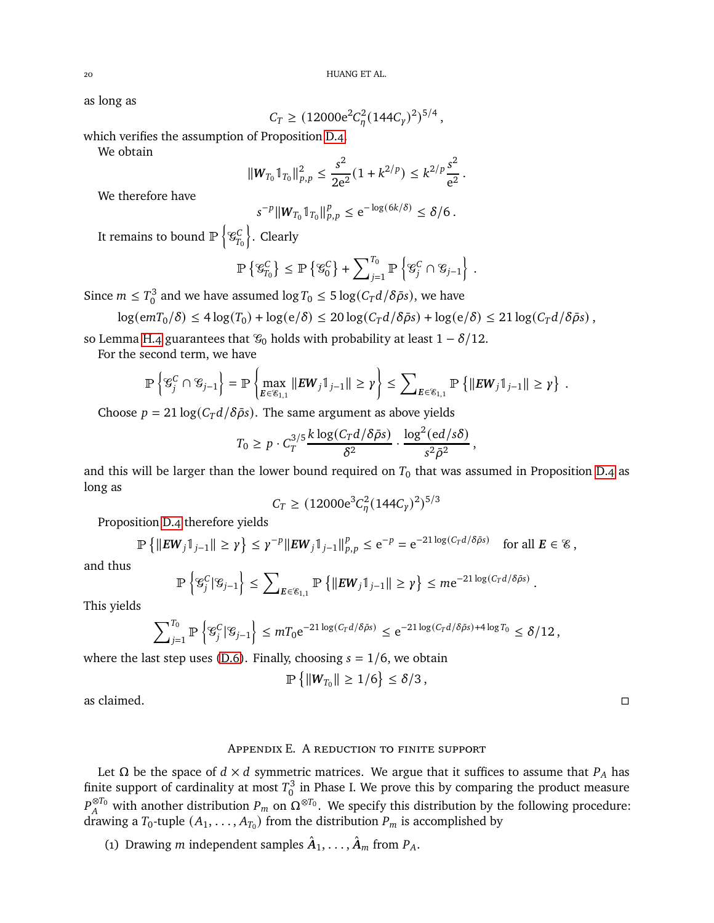as long as

$$
C_T \ge (12000e^2C_\eta^2(144C_\gamma)^2)^{5/4},
$$

which verifies the assumption of Proposition [D.4.](#page-16-0)

We obtain

$$
||W_{T_0} \mathbb{1}_{T_0}||_{p,p}^2 \leq \frac{s^2}{2e^2} (1 + k^{2/p}) \leq k^{2/p} \frac{s^2}{e^2}.
$$

We therefore have

$$
s^{-p}||W_{T_0}1_{T_0}||_{p,p}^p \leq e^{-\log(6k/\delta)} \leq \delta/6.
$$

It remains to bound  $\mathbb{P}\left\{ \mathcal{G}_{\mathcal{I}_{L}}^{C}\right\}$  $T_0$ o . Clearly

$$
\mathbb{P}\left\{ \mathcal{G}_{T_0}^C \right\} \le \mathbb{P}\left\{ \mathcal{G}_0^C \right\} + \sum_{j=1}^{T_0} \mathbb{P}\left\{ \mathcal{G}_j^C \cap \mathcal{G}_{j-1} \right\} .
$$

Since  $m \leq T_0^3$  $\frac{13}{0}$  and we have assumed  $\log T_0 \leq 5 \log(C_T d/\delta \bar{\rho} s)$ , we have

$$
\log(emT_0/\delta) \le 4\log(T_0) + \log(e/\delta) \le 20\log(C_Td/\delta\bar{\rho}s) + \log(e/\delta) \le 21\log(C_Td/\delta\bar{\rho}s),
$$

so Lemma [H.4](#page-25-0) guarantees that  $\mathcal{G}_0$  holds with probability at least  $1 - \delta/12$ .

For the second term, we have

$$
\mathbb{P}\left\{\mathcal{G}_j^C\cap\mathcal{G}_{j-1}\right\}=\mathbb{P}\left\{\max_{E\in\mathcal{E}_{1,1}}\|EW_j\mathbb{1}_{j-1}\|\geq \gamma\right\}\leq \sum_{E\in\mathcal{E}_{1,1}}\mathbb{P}\left\{\|EW_j\mathbb{1}_{j-1}\|\geq \gamma\right\}\,.
$$

Choose  $p = 21 \log(C_T d/\delta \bar{\rho} s)$ . The same argument as above yields

$$
T_0 \geq p \cdot C_T^{3/5} \frac{k \log (C_T d/\delta \bar{\rho} s)}{\delta^2} \cdot \frac{\log^2(\mathrm{e} d/s \delta)}{s^2 \bar{\rho}^2}
$$

,

and this will be larger than the lower bound required on  $T_0$  that was assumed in Proposition [D.4](#page-16-0) as long as

$$
C_T \ge (12000e^3C_\eta^2(144C_\gamma)^2)^{5/3}
$$

Proposition [D.4](#page-16-0) therefore yields

$$
\mathbb{P}\left\{\|EW_j\mathbb{1}_{j-1}\|\geq \gamma\right\} \leq \gamma^{-p}\|EW_j\mathbb{1}_{j-1}\|_{p,p}^p\leq e^{-p}=e^{-21\log(C_Td/\delta\bar{\rho}s)}\quad\text{for all }E\in\mathcal{E},
$$

and thus

$$
\mathbb{P}\left\{\mathcal{C}_j^C|\mathcal{C}_{j-1}\right\} \leq \sum\nolimits_{E\in\mathcal{C}_{1,1}}\mathbb{P}\left\{\|EW_j\mathbb{1}_{j-1}\| \geq \gamma\right\} \leq m e^{-21\log(C_Td/\delta\bar{\rho}s)}.
$$

This yields

$$
\sum\nolimits_{j=1}^{T_0}\mathbb{P}\left\{\mathcal{G}_j^C\big|\mathcal{G}_{j-1}\right\}\leq mT_0\mathrm{e}^{-21\log(C_Td/\delta\bar{\rho}s)}\leq \mathrm{e}^{-21\log(C_Td/\delta\bar{\rho}s)+4\log T_0}\leq \delta/12\,,
$$

where the last step uses [\(D.6\)](#page-18-1). Finally, choosing  $s = 1/6$ , we obtain

$$
\mathbb{P}\left\{\|W_{T_0}\|\geq 1/6\right\}\leq \delta/3\,,
$$

<span id="page-19-0"></span>as claimed.

## Appendix E. A reduction to finite support

Let  $\Omega$  be the space of  $d \times d$  symmetric matrices. We argue that it suffices to assume that  $P_A$  has finite support of cardinality at most  $T_0^3$  $\frac{1}{0}$  in Phase I. We prove this by comparing the product measure  $P_A^{\otimes T_0}$  with another distribution  $P_m$  on  $\Omega^{\otimes T_0}$ . We specify this distribution by the following procedure: drawing a  $T_0$ -tuple  $(A_1, \ldots, A_{T_0})$  from the distribution  $P_m$  is accomplished by

(1) Drawing *m* independent samples  $\hat{A}_1, \ldots, \hat{A}_m$  from  $P_A$ .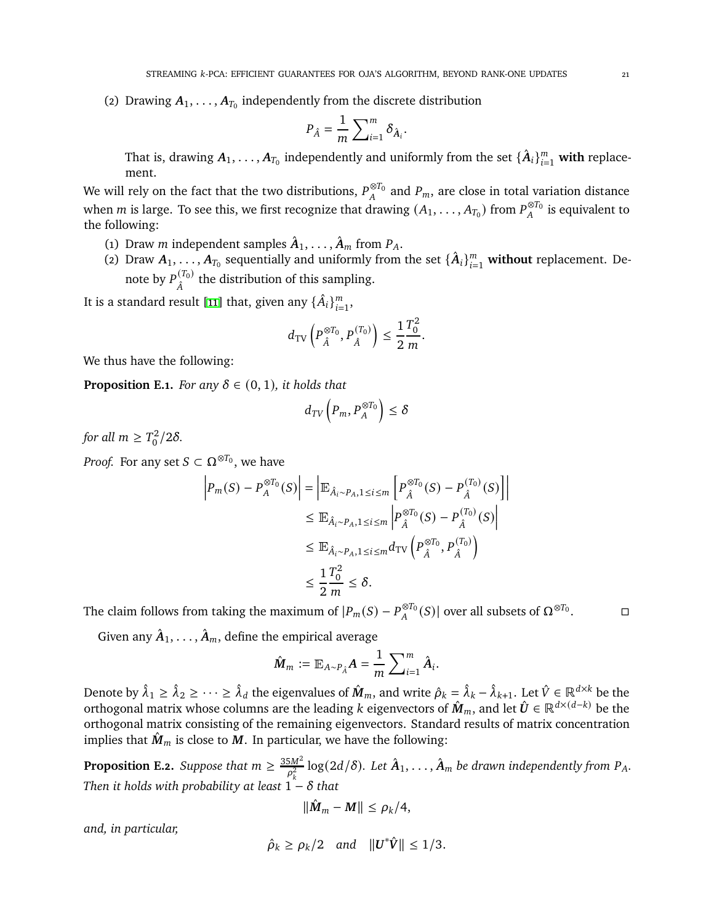(2) Drawing  $A_1, \ldots, A_{T_0}$  independently from the discrete distribution

$$
P_{\hat{A}} = \frac{1}{m} \sum_{i=1}^{m} \delta_{\hat{A}_i}.
$$

That is, drawing  $A_1,\ldots,A_{T_0}$  independently and uniformly from the set  $\{\hat{A}_i\}_{i=1}^m$  **with** replacement.

We will rely on the fact that the two distributions,  $P_A^{\otimes T_0}$  and  $P_m$ , are close in total variation distance when *m* is large. To see this, we first recognize that drawing  $(A_1, \ldots, A_{T_0})$  from  $P_A^{\otimes T_0}$  is equivalent to the following:

- (1) Draw *m* independent samples  $\hat{A}_1, \ldots, \hat{A}_m$  from  $P_A$ .
- (2) Draw  $A_1, \ldots, A_{T_0}$  sequentially and uniformly from the set  $\{\hat{A}_i\}_{i=1}^m$  without replacement. Denote by  $P_{\hat{\lambda}}^{(T_0)}$  $\hat{A}^{(10)}$  the distribution of this sampling.

It is a standard result [\[11\]](#page-26-15) that, given any  $\{\hat{A}_i\}_{i=1}^m$ ,

$$
d_{\text{TV}}\left(P_{\hat{A}}^{\otimes T_0}, P_{\hat{A}}^{(T_0)}\right) \le \frac{1}{2} \frac{T_0^2}{m}.
$$

We thus have the following:

<span id="page-20-1"></span>**Proposition E.1.** *For any*  $\delta \in (0, 1)$ *, it holds that* 

$$
d_{TV}\left(P_m,P_A^{\otimes T_0}\right)\leq\delta
$$

*for all*  $m \geq T_0^2$  $\binom{2}{0}$ /2 $\delta$ .

*Proof.* For any set  $S \subset \Omega^{\otimes T_0}$ , we have

$$
\left| P_m(S) - P_A^{\otimes T_0}(S) \right| = \left| \mathbb{E}_{\hat{A}_i \sim P_A, 1 \le i \le m} \left[ P_{\hat{A}}^{\otimes T_0}(S) - P_{\hat{A}}^{(T_0)}(S) \right] \right|
$$
  
\n
$$
\le \mathbb{E}_{\hat{A}_i \sim P_A, 1 \le i \le m} \left| P_{\hat{A}}^{\otimes T_0}(S) - P_{\hat{A}}^{(T_0)}(S) \right|
$$
  
\n
$$
\le \mathbb{E}_{\hat{A}_i \sim P_A, 1 \le i \le m} d_{\text{TV}} \left( P_{\hat{A}}^{\otimes T_0}, P_{\hat{A}}^{(T_0)} \right)
$$
  
\n
$$
\le \frac{1}{2} \frac{T_0^2}{m} \le \delta.
$$

The claim follows from taking the maximum of  $|P_m(S) - P_A^{\otimes T_0}(S)|$  over all subsets of  $\Omega^{\otimes T_0}$ . □

Given any  $\hat{A}_1, \ldots, \hat{A}_m$ , define the empirical average

$$
\hat{\boldsymbol{M}}_m := \mathbb{E}_{A \sim P_{\hat{A}}} \boldsymbol{A} = \frac{1}{m} \sum_{i=1}^m \hat{A}_i.
$$

Denote by  $\hat{\lambda}_1 \geq \hat{\lambda}_2 \geq \cdots \geq \hat{\lambda}_d$  the eigenvalues of  $\hat{M}_m$ , and write  $\hat{\rho}_k = \hat{\lambda}_k - \hat{\lambda}_{k+1}$ . Let  $\hat{V} \in \mathbb{R}^{d \times k}$  be the orthogonal matrix whose columns are the leading k eigenvectors of  $\hat{M}_m$ , and let  $\hat{U} \in \mathbb{R}^{d \times (d-k)}$  be the orthogonal matrix consisting of the remaining eigenvectors. Standard results of matrix concentration implies that  $\hat{M}_m$  is close to M. In particular, we have the following:

<span id="page-20-0"></span>**Proposition E.2.** *Suppose that*  $m \geq \frac{35M^2}{\rho_k^2}$  $\frac{\delta M^2}{\rho_k^2} \log(2d/\delta)$ . Let  $\hat{\bm{A}}_1, \ldots, \hat{\bm{A}}_m$  be drawn independently from  $P_A$ . *Then it holds with probability at least*  $1 - \delta$  *that* 

$$
\|\hat{\boldsymbol{M}}_m - \boldsymbol{M}\| \leq \rho_k/4,
$$

*and, in particular,*

$$
\hat{\rho}_k \geq \rho_k/2 \quad \text{and} \quad ||\mathbf{U}^*\hat{\mathbf{V}}|| \leq 1/3.
$$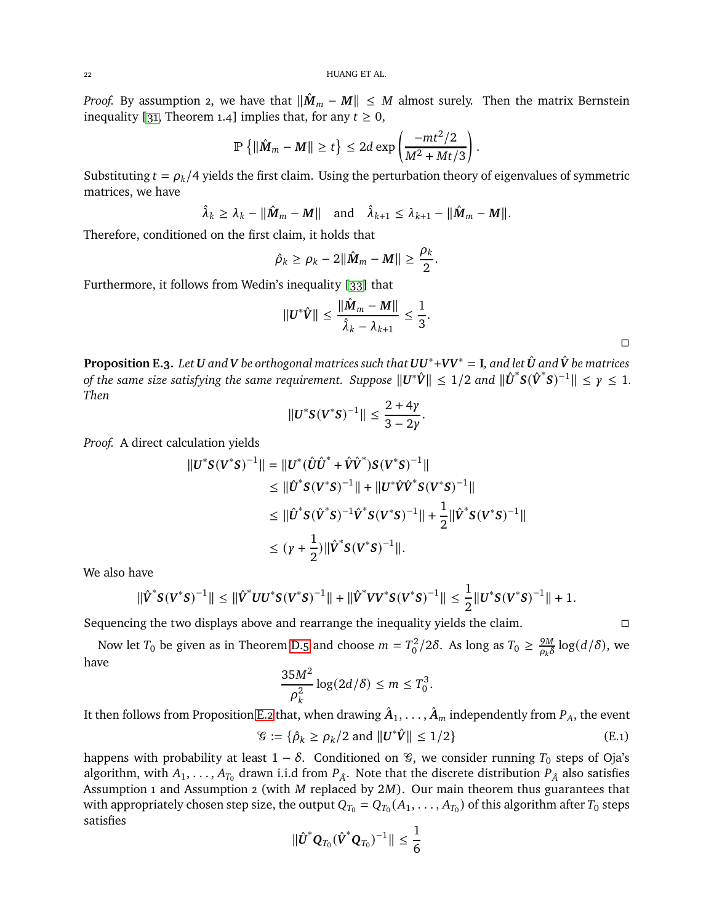*Proof.* By assumption 2, we have that  $\|\hat{M}_m - M\| \leq M$  almost surely. Then the matrix Bernstein inequality [\[31,](#page-27-3) Theorem 1.4] implies that, for any  $t \geq 0$ ,

$$
\mathbb{P}\left\{\|\hat{\boldsymbol{M}}_m - \boldsymbol{M}\| \geq t\right\} \leq 2d \exp\left(\frac{-mt^2/2}{M^2 + Mt/3}\right)
$$

.

Substituting  $t = \rho_k/4$  yields the first claim. Using the perturbation theory of eigenvalues of symmetric matrices, we have

$$
\hat{\lambda}_k \geq \lambda_k - ||\hat{\mathbf{M}}_m - \mathbf{M}|| \quad \text{and} \quad \hat{\lambda}_{k+1} \leq \lambda_{k+1} - ||\hat{\mathbf{M}}_m - \mathbf{M}||.
$$

Therefore, conditioned on the first claim, it holds that

$$
\hat{\rho}_k \geq \rho_k - 2\|\hat{\boldsymbol{M}}_m - \boldsymbol{M}\| \geq \frac{\rho_k}{2}.
$$

Furthermore, it follows from Wedin's inequality [\[33\]](#page-27-4) that

$$
\|\boldsymbol{U}^*\hat{\boldsymbol{V}}\| \leq \frac{\|\hat{\boldsymbol{M}}_m - \boldsymbol{M}\|}{\hat{\lambda}_k - \lambda_{k+1}} \leq \frac{1}{3}.
$$

 $\Box$ 

<span id="page-21-1"></span>**Proposition E.3.** *Let U* and **V** be orthogonal matrices such that  $UU^*+VV^* = I$ , and let  $\hat{U}$  and  $\hat{V}$  be matrices *of the same size satisfying the same requirement. Suppose*  $||U^*\hat{V}|| \le 1/2$  *and*  $||\hat{U}^*S(\hat{V}^*S)^{-1}|| \le \gamma \le 1$ . *Then*

$$
||U^*S(V^*S)^{-1}|| \leq \frac{2+4\gamma}{3-2\gamma}.
$$

*Proof.* A direct calculation yields

$$
||U^*S(V^*S)^{-1}|| = ||U^*(\hat{U}\hat{U}^* + \hat{V}\hat{V}^*)S(V^*S)^{-1}||
$$
  
\n
$$
\leq ||\hat{U}^*S(V^*S)^{-1}|| + ||U^*\hat{V}\hat{V}^*S(V^*S)^{-1}||
$$
  
\n
$$
\leq ||\hat{U}^*S(\hat{V}^*S)^{-1}\hat{V}^*S(V^*S)^{-1}|| + \frac{1}{2}||\hat{V}^*S(V^*S)^{-1}||
$$
  
\n
$$
\leq (\gamma + \frac{1}{2})||\hat{V}^*S(V^*S)^{-1}||.
$$

We also have

$$
\|\hat{V}^*S(V^*S)^{-1}\| \leq \|\hat{V}^*UU^*S(V^*S)^{-1}\| + \|\hat{V}^*VV^*S(V^*S)^{-1}\| \leq \frac{1}{2}\|U^*S(V^*S)^{-1}\| + 1.
$$

Sequencing the two displays above and rearrange the inequality yields the claim.

Now let  $T_0$  be given as in Theorem [D.5](#page-18-0) and choose  $m = T_0^2/2\delta$ . As long as  $T_0 \ge \frac{9M}{\rho_k \delta}$  $\frac{9M}{\rho_k\delta}\log(d/\delta),$  we have

$$
\frac{35M^2}{\rho_k^2}\log(2d/\delta) \le m \le T_0^3.
$$

It then follows from Proposition [E.2](#page-20-0) that, when drawing  $\hat{A}_1, \ldots, \hat{A}_m$  independently from  $P_A$ , the event  $\mathcal{C} := \{\hat{\rho}_k \ge \rho_k/2 \text{ and } ||\mathbf{U}^*\hat{\mathbf{V}}|| \le 1/2\}$  (E.1)

happens with probability at least  $1 - \delta$ . Conditioned on  $\mathcal{C}$ , we consider running  $T_0$  steps of Oja's algorithm, with  $A_1, \ldots, A_{T_0}$  drawn i.i.d from  $P_{\hat{A}}$ . Note that the discrete distribution  $P_{\hat{A}}$  also satisfies Assumption 1 and Assumption 2 (with  $M$  replaced by  $2M$ ). Our main theorem thus guarantees that with appropriately chosen step size, the output  $Q_{T_0} = Q_{T_0}(A_1, \ldots, A_{T_0})$  of this algorithm after  $T_0$  steps satisfies

<span id="page-21-0"></span>
$$
\|\hat{\boldsymbol{U}}^* \boldsymbol{Q}_{T_0}(\hat{\boldsymbol{V}}^* \boldsymbol{Q}_{T_0})^{-1}\| \leq \frac{1}{6}
$$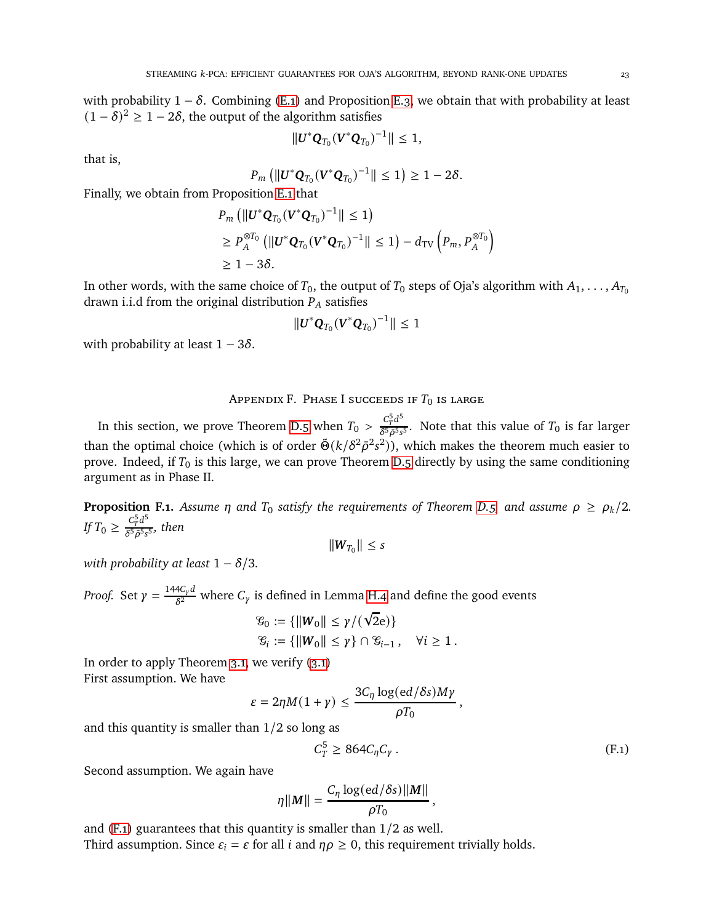with probability  $1 - \delta$ . Combining [\(E.1\)](#page-21-0) and Proposition [E.3,](#page-21-1) we obtain that with probability at least  $(1 - \delta)^2 \ge 1 - 2\delta$ , the output of the algorithm satisfies

$$
||\mathbf{U}^*\mathbf{Q}_{T_0}(\mathbf{V}^*\mathbf{Q}_{T_0})^{-1}|| \leq 1,
$$

that is,

$$
P_m (||\mathbf{U}^* \mathbf{Q}_{T_0} (\mathbf{V}^* \mathbf{Q}_{T_0})^{-1}|| \leq 1) \geq 1 - 2\delta.
$$

Finally, we obtain from Proposition [E.1](#page-20-1) that

$$
P_m \left( \left\| \boldsymbol{U}^* \boldsymbol{Q}_{T_0} (\boldsymbol{V}^* \boldsymbol{Q}_{T_0})^{-1} \right\| \le 1 \right)
$$
  
\n
$$
\ge P_A^{\otimes T_0} \left( \left\| \boldsymbol{U}^* \boldsymbol{Q}_{T_0} (\boldsymbol{V}^* \boldsymbol{Q}_{T_0})^{-1} \right\| \le 1 \right) - d_{\text{TV}} \left( P_m, P_A^{\otimes T_0} \right)
$$
  
\n
$$
\ge 1 - 3\delta.
$$

In other words, with the same choice of  $T_0$ , the output of  $T_0$  steps of Oja's algorithm with  $A_1, \ldots, A_{T_0}$ drawn i.i.d from the original distribution  $P_A$  satisfies

$$
||\mathbf{U}^* \mathbf{Q}_{T_0} (\mathbf{V}^* \mathbf{Q}_{T_0})^{-1}|| \leq 1
$$

with probability at least  $1 - 3\delta$ .

APPENDIX F. PHASE I SUCCEEDS IF  $T_0$  is large

<span id="page-22-0"></span>In this section, we prove Theorem [D.5](#page-18-0) when  $T_0 > \frac{C_p^5 d^5}{8^5 a^5 s}$  $\frac{C_T \alpha}{\delta^5 \bar{\rho}^5 s^5}$ . Note that this value of  $T_0$  is far larger than the optimal choice (which is of order  $\tilde{\Theta}(k/\delta^2 \bar{\rho}^2 s^2)$ ), which makes the theorem much easier to prove. Indeed, if  $T_0$  is this large, we can prove Theorem [D.5](#page-18-0) directly by using the same conditioning argument as in Phase II.

**Proposition F.1.** *Assume*  $\eta$  *and*  $T_0$  *satisfy the requirements of Theorem [D.5,](#page-18-0) and assume*  $\rho \ge \rho_k/2$ *. If*  $T_0 \ge \frac{C_T^5 d^5}{\delta^5 \bar{\rho}^5 s}$  $\frac{e_T}{\delta^5\bar\rho^5s^5},$  then

 $\|W_{T_0}\| \leq s$ 

*with probability at least*  $1 - \delta/3$ *.* 

*Proof.* Set  $\gamma = \frac{144C_{\gamma}d}{s^2}$  $\frac{\pi_{\rm Cyl}^{\rm Cyl}}{\delta^2}$  where  $C_{\gamma}$  is defined in Lemma [H.4](#page-25-0) and define the good events

$$
\mathcal{G}_0 := \{ ||W_0|| \le \gamma/(\sqrt{2}e) \}
$$
  

$$
\mathcal{G}_i := \{ ||W_0|| \le \gamma \} \cap \mathcal{G}_{i-1}, \quad \forall i \ge 1.
$$

In order to apply Theorem [3.1,](#page-6-3) we verify [\(3.1\)](#page-6-2) First assumption. We have

$$
\varepsilon = 2\eta M(1+\gamma) \le \frac{3C_{\eta} \log(ed/\delta s) M\gamma}{\rho T_0}
$$

and this quantity is smaller than 1/2 so long as

$$
C_T^5 \geq 864 C_\eta C_\gamma \,. \tag{F.1}
$$

<span id="page-22-1"></span>,

Second assumption. We again have

$$
\eta||M|| = \frac{C_{\eta} \log(ed/\delta s) ||M||}{\rho T_0},
$$

and  $(F.1)$  guarantees that this quantity is smaller than  $1/2$  as well. Third assumption. Since  $\varepsilon_i = \varepsilon$  for all *i* and  $\eta \rho \geq 0$ , this requirement trivially holds.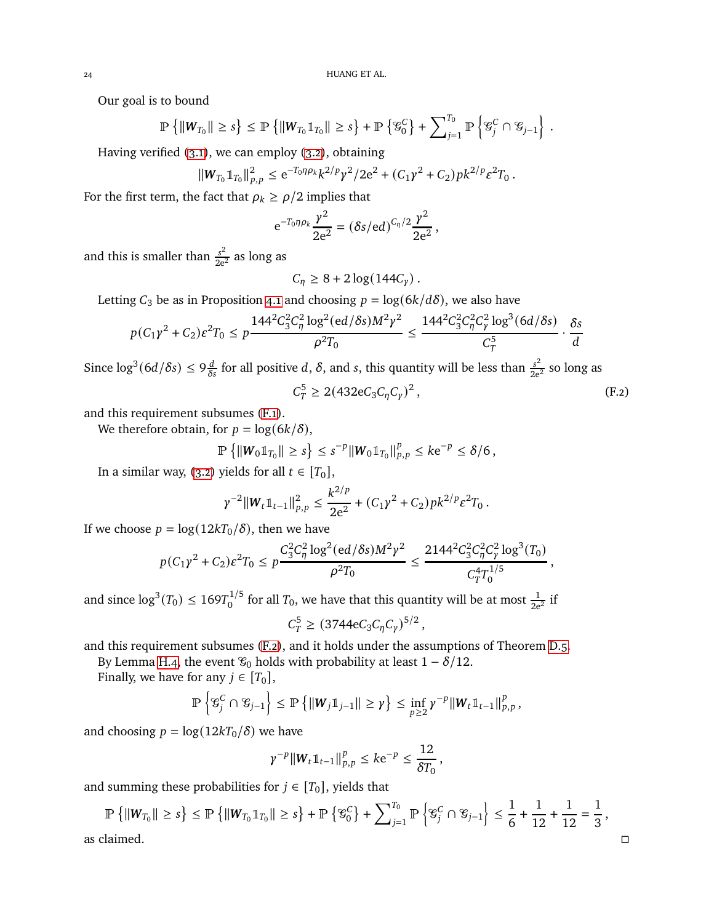Our goal is to bound

$$
\mathbb{P}\left\{\|W_{T_0}\| \geq s\right\} \leq \mathbb{P}\left\{\|W_{T_0}\mathbb{1}_{T_0}\| \geq s\right\} + \mathbb{P}\left\{\mathcal{G}_0^C\right\} + \sum\nolimits_{j=1}^{T_0} \mathbb{P}\left\{\mathcal{G}_j^C \cap \mathcal{G}_{j-1}\right\}.
$$

Having verified [\(3.1\)](#page-6-2), we can employ [\(3.2\)](#page-6-6), obtaining

$$
||W_{T_0}1_{T_0}||_{p,p}^2 \le e^{-T_0\eta\rho_k}k^{2/p}\gamma^2/2e^2 + (C_1\gamma^2 + C_2)pk^{2/p}\varepsilon^2T_0.
$$

For the first term, the fact that  $\rho_k \ge \frac{\rho}{2}$  implies that

$$
e^{-T_0 \eta \rho_k} \frac{\gamma^2}{2e^2} = (\delta s / \mathrm{e} d)^{C_\eta/2} \frac{\gamma^2}{2e^2},
$$

and this is smaller than  $\frac{s^2}{2e^2}$  as long as

<span id="page-23-0"></span>
$$
C_{\eta} \geq 8 + 2 \log(144C_{\gamma}).
$$

Letting  $C_3$  be as in Proposition [4.1](#page-7-5) and choosing  $p = log(6k/d\delta)$ , we also have

$$
p(C_1\gamma^2 + C_2)\varepsilon^2 T_0 \le p \frac{144^2 C_3^2 C_\eta^2 \log^2(\mathrm{ed}/\delta s) M^2 \gamma^2}{\rho^2 T_0} \le \frac{144^2 C_3^2 C_\eta^2 C_\gamma^2 \log^3(\mathrm{6d}/\delta s)}{C_T^5} \cdot \frac{\delta s}{d}
$$

Since  $\log^3(6d/\delta s) \le 9\frac{d}{\delta s}$  for all positive d,  $\delta$ , and s, this quantity will be less than  $\frac{s^2}{2e^2}$  so long as  $C_T^5 \geq 2(432eC_3C_\eta C_\gamma)^2$  $(F.2)$ 

and this requirement subsumes [\(F.1\)](#page-22-1).

We therefore obtain, for  $p = \log(6k/\delta)$ ,

$$
\mathbb{P}\left\{\|W_0\mathbb{1}_{T_0}\| \geq s\right\} \leq s^{-p} \|W_0\mathbb{1}_{T_0}\|_{p,p}^p \leq k e^{-p} \leq \delta/6,
$$

In a similar way, [\(3.2\)](#page-6-6) yields for all  $t \in [T_0]$ ,

$$
\gamma^{-2} \|\mathbf{W}_t\mathbb{1}_{t-1}\|_{p,p}^2 \leq \frac{k^{2/p}}{2e^2} + (C_1\gamma^2 + C_2)pk^{2/p}\varepsilon^2 T_0.
$$

If we choose  $p = \log(12kT_0/\delta)$ , then we have

$$
p(C_1\gamma^2 + C_2)\varepsilon^2 T_0 \le p \frac{C_3^2C_\eta^2\log^2(\operatorname{ed}/\delta s)M^2\gamma^2}{\rho^2 T_0} \le \frac{2144^2C_3^2C_\eta^2C_\gamma^2\log^3(T_0)}{C_T^4T_0^{1/5}},
$$

and since  $\log^3(T_0) \le 169T_0^{1/5}$  for all  $T_0$ , we have that this quantity will be at most  $\frac{1}{2e^2}$  if

$$
C_T^5 \ge (3744 e C_3 C_\eta C_\gamma)^{5/2},
$$

and this requirement subsumes [\(F.2\)](#page-23-0), and it holds under the assumptions of Theorem [D.5.](#page-18-0)

By Lemma [H.4,](#page-25-0) the event  $\mathcal{G}_0$  holds with probability at least  $1 - \delta/12$ .

Finally, we have for any  $j \in [T_0]$ ,

$$
\mathbb{P}\left\{ \mathcal{G}_j^C \cap \mathcal{G}_{j-1} \right\} \leq \mathbb{P}\left\{ ||\boldsymbol{W}_j \mathbb{1}_{j-1}|| \geq \gamma \right\} \leq \inf_{p \geq 2} \gamma^{-p} ||\boldsymbol{W}_t \mathbb{1}_{t-1}||_{p,p}^p,
$$

and choosing  $p = log(12kT_0/\delta)$  we have

$$
\gamma^{-p}||W_t \mathbb{1}_{t-1}||_{p,p}^p \leq k e^{-p} \leq \frac{12}{\delta T_0},
$$

and summing these probabilities for  $j \in [T_0]$ , yields that

$$
\mathbb{P}\left\{\|W_{T_0}\| \geq s\right\} \leq \mathbb{P}\left\{\|W_{T_0}\mathbb{1}_{T_0}\| \geq s\right\} + \mathbb{P}\left\{\mathcal{C}_0^C\right\} + \sum_{j=1}^{T_0} \mathbb{P}\left\{\mathcal{C}_j^C \cap \mathcal{C}_{j-1}\right\} \leq \frac{1}{6} + \frac{1}{12} + \frac{1}{12} = \frac{1}{3},
$$
as claimed.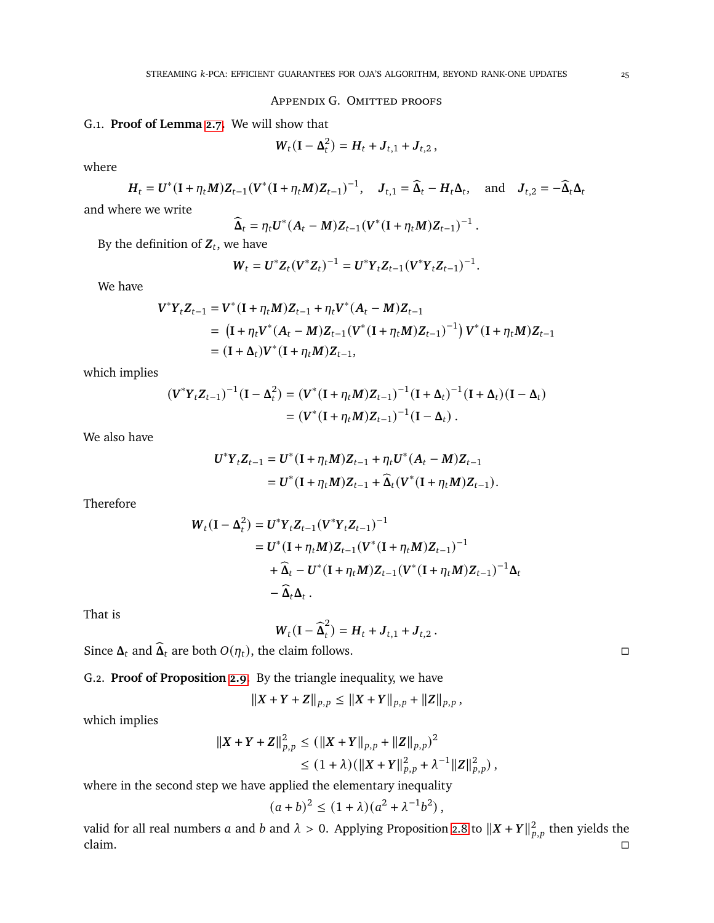#### APPENDIX G. OMITTED PROOFS

## <span id="page-24-0"></span>G.1. **Proof of Lemma [2.7.](#page-5-3)** We will show that

$$
W_t(I - \Delta_t^2) = H_t + J_{t,1} + J_{t,2},
$$

where

$$
H_t = U^*(\mathbf{I} + \eta_t M)Z_{t-1}(V^*(\mathbf{I} + \eta_t M)Z_{t-1})^{-1}, \quad J_{t,1} = \widehat{\Delta}_t - H_t \Delta_t, \quad \text{and} \quad J_{t,2} = -\widehat{\Delta}_t \Delta_t
$$

and where we write

$$
\widehat{\mathbf{\Delta}}_t = \eta_t \mathbf{U}^*(\mathbf{A}_t - \mathbf{M}) \mathbf{Z}_{t-1} (\mathbf{V}^*(\mathbf{I} + \eta_t \mathbf{M}) \mathbf{Z}_{t-1})^{-1}.
$$

By the definition of  $\mathbf{Z}_t$ , we have

$$
W_t = U^* Z_t (V^* Z_t)^{-1} = U^* Y_t Z_{t-1} (V^* Y_t Z_{t-1})^{-1}.
$$

We have

$$
V^*Y_tZ_{t-1} = V^*(I + \eta_t M)Z_{t-1} + \eta_t V^*(A_t - M)Z_{t-1}
$$
  
=  $(I + \eta_t V^*(A_t - M)Z_{t-1}(V^*(I + \eta_t M)Z_{t-1})^{-1}) V^*(I + \eta_t M)Z_{t-1}$   
=  $(I + \Delta_t)V^*(I + \eta_t M)Z_{t-1},$ 

which implies

$$
\begin{aligned} (\mathbf{V}^* \mathbf{Y}_t \mathbf{Z}_{t-1})^{-1} (\mathbf{I} - \mathbf{\Delta}_t^2) &= (\mathbf{V}^* (\mathbf{I} + \eta_t \mathbf{M}) \mathbf{Z}_{t-1})^{-1} (\mathbf{I} + \mathbf{\Delta}_t)^{-1} (\mathbf{I} + \mathbf{\Delta}_t) (\mathbf{I} - \mathbf{\Delta}_t) \\ &= (\mathbf{V}^* (\mathbf{I} + \eta_t \mathbf{M}) \mathbf{Z}_{t-1})^{-1} (\mathbf{I} - \mathbf{\Delta}_t) \,. \end{aligned}
$$

We also have

$$
U^*Y_tZ_{t-1} = U^*(I + \eta_t M)Z_{t-1} + \eta_t U^*(A_t - M)Z_{t-1}
$$
  
= 
$$
U^*(I + \eta_t M)Z_{t-1} + \widehat{\Delta}_t (V^*(I + \eta_t M)Z_{t-1}).
$$

Therefore

$$
W_t(\mathbf{I} - \Delta_t^2) = U^* Y_t Z_{t-1} (V^* Y_t Z_{t-1})^{-1}
$$
  
=  $U^* (\mathbf{I} + \eta_t M) Z_{t-1} (V^* (\mathbf{I} + \eta_t M) Z_{t-1})^{-1}$   
+  $\widehat{\Delta}_t - U^* (\mathbf{I} + \eta_t M) Z_{t-1} (V^* (\mathbf{I} + \eta_t M) Z_{t-1})^{-1} \Delta_t$   
-  $\widehat{\Delta}_t \Delta_t$ .

That is

$$
\boldsymbol{W}_t(\mathbf{I}-\widehat{\boldsymbol{\Delta}}_t^2)=\boldsymbol{H}_t+\boldsymbol{J}_{t,1}+\boldsymbol{J}_{t,2}.
$$

Since  $\Delta_t$  and  $\widehat{\Delta}_t$  are both  $O(\eta_t)$ , the claim follows.

G.2. **Proof of Proposition [2.9.](#page-6-4)** By the triangle inequality, we have

$$
||X+Y+Z||_{p,p} \leq ||X+Y||_{p,p} + ||Z||_{p,p},
$$

which implies

$$
||X + Y + Z||_{p,p}^{2} \le (||X + Y||_{p,p} + ||Z||_{p,p})^{2}
$$
  

$$
\le (1 + \lambda)(||X + Y||_{p,p}^{2} + \lambda^{-1}||Z||_{p,p}^{2}),
$$

where in the second step we have applied the elementary inequality

$$
(a+b)^2 \le (1+\lambda)(a^2 + \lambda^{-1}b^2) \,,
$$

valid for all real numbers a and b and  $\lambda > 0$ . Applying Proposition [2.8](#page-5-5) to  $||X + Y||_{p,p}^2$  then yields the claim.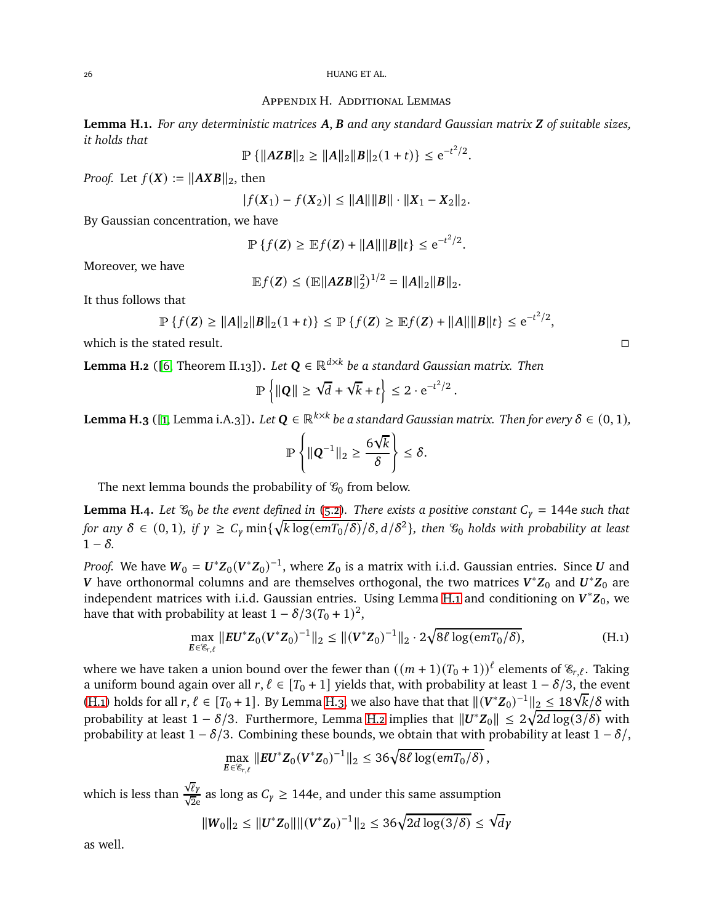#### Appendix H. Additional Lemmas

<span id="page-25-1"></span>**Lemma H.1.** *For any deterministic matrices* A, B and any standard Gaussian matrix Z of suitable sizes, *it holds that*

$$
\mathbb{P}\left\{\|\mathbf{AZB}\|_{2}\geq\|\mathbf{A}\|_{2}\|\mathbf{B}\|_{2}(1+t)\right\}\leq e^{-t^{2}/2}.
$$

*Proof.* Let  $f(X) := ||AXB||_2$ , then

$$
|f(X_1) - f(X_2)| \le ||A|| ||B|| \cdot ||X_1 - X_2||_2.
$$

By Gaussian concentration, we have

$$
\mathbb{P}\left\{f(\mathbf{Z}) \geq \mathbb{E}f(\mathbf{Z}) + ||\mathbf{A}|| ||\mathbf{B}||t\right\} \leq e^{-t^2/2}.
$$

Moreover, we have

$$
\mathbb{E}f(\mathbf{Z}) \leq (\mathbb{E}||\mathbf{AZB}||_2^2)^{1/2} = ||A||_2||B||_2.
$$

It thus follows that

$$
\mathbb{P}\left\{f(\mathbf{Z}) \ge ||\mathbf{A}||_2 ||\mathbf{B}||_2(1+t)\right\} \le \mathbb{P}\left\{f(\mathbf{Z}) \ge \mathbb{E}f(\mathbf{Z}) + ||\mathbf{A}|| ||\mathbf{B}||t\right\} \le e^{-t^2/2},
$$

which is the stated result.  $\Box$ 

<span id="page-25-4"></span>**Lemma H.2** ([\[6,](#page-26-16) Theorem II.13]). *Let*  $\boldsymbol{Q} \in \mathbb{R}^{d \times k}$  *be a standard Gaussian matrix. Then* 

$$
\mathbb{P}\left\{\|\mathbf{Q}\| \geq \sqrt{d} + \sqrt{k} + t\right\} \leq 2 \cdot e^{-t^2/2}.
$$

<span id="page-25-3"></span>**Lemma H.3** ([\[1,](#page-26-2) Lemma i.A.3]). Let  $Q \in \mathbb{R}^{k \times k}$  be a standard Gaussian matrix. Then for every  $\delta \in (0,1)$ ,

$$
\mathbb{P}\left\{\|\mathbf{Q}^{-1}\|_2\geq \frac{6\sqrt{k}}{\delta}\right\}\leq \delta.
$$

The next lemma bounds the probability of  $\mathcal{G}_0$  from below.

<span id="page-25-0"></span>**Lemma H.4.** *Let*  $\mathcal{C}_0$  *be the event defined in* [\(5.2\)](#page-9-3). There exists a positive constant  $C_\gamma = 144e$  such that  $f$ or any  $\delta \in (0,1)$ , if  $\gamma \ge C_\gamma \min\{\sqrt{k \log(emT_0/\delta)}/\delta, d/\delta^2\}$ , then  $\mathscr{C}_0$  holds with probability at least  $1 - \delta$ .

*Proof.* We have  $W_0 = U^* Z_0 (V^* Z_0)^{-1}$ , where  $Z_0$  is a matrix with i.i.d. Gaussian entries. Since *U* and  $V$  have orthonormal columns and are themselves orthogonal, the two matrices  $V^*{\rm Z}_0$  and  $U^*{\rm Z}_0$  are independent matrices with i.i.d. Gaussian entries. Using Lemma [H.1](#page-25-1) and conditioning on  $V^* \mathbf{Z}_0$ , we have that with probability at least  $1 - \delta/3(T_0 + 1)^2$ ,

$$
\max_{\mathbf{E}\in\mathscr{E}_{r,\ell}} \|\mathbf{E}\mathbf{U}^*\mathbf{Z}_0(\mathbf{V}^*\mathbf{Z}_0)^{-1}\|_2 \le \|(V^*\mathbf{Z}_0)^{-1}\|_2 \cdot 2\sqrt{8\ell \log(emT_0/\delta)},
$$
\n(H.1)

where we have taken a union bound over the fewer than  $((m + 1)(T_0 + 1))$ <sup> $\ell$ </sup> elements of  $\mathcal{E}_{r,\ell}$ . Taking a uniform bound again over all  $r, \ell \in [T_0 + 1]$  yields that, with probability at least  $1 - \delta/3$ , the event [\(H.1\)](#page-25-2) holds for all  $r, \ell \in [T_0 + 1]$ . By Lemma [H.3,](#page-25-3) we also have that that  $\|(V^*Z_0)^{-1}\|_2 \leq 18\sqrt{k}/8$  with probability at least  $1 - \delta/3$ . Furthermore, Lemma [H.2](#page-25-4) implies that  $||U^*Z_0|| \leq 2\sqrt{2d \log(3/\delta)}$  with probability at least  $1 - \delta/3$ . Combining these bounds, we obtain that with probability at least  $1 - \delta/$ ,

$$
\max_{\mathbf{E}\in\mathscr{E}_{r,\ell}}\|\mathbf{E}\mathbf{U}^*\mathbf{Z}_0(\mathbf{V}^*\mathbf{Z}_0)^{-1}\|_2\leq 36\sqrt{8\ell\log(emT_0/\delta)},
$$

which is less than  $\frac{\sqrt{\ell} \gamma}{\sqrt{2}e}$  as long as  $C_{\gamma} \ge 144e$ , and under this same assumption

$$
||W_0||_2 \le ||U^* Z_0|| \, ||(V^* Z_0)^{-1}||_2 \le 36\sqrt{2d \log(3/\delta)} \le \sqrt{d} \gamma
$$

as well.

<span id="page-25-2"></span>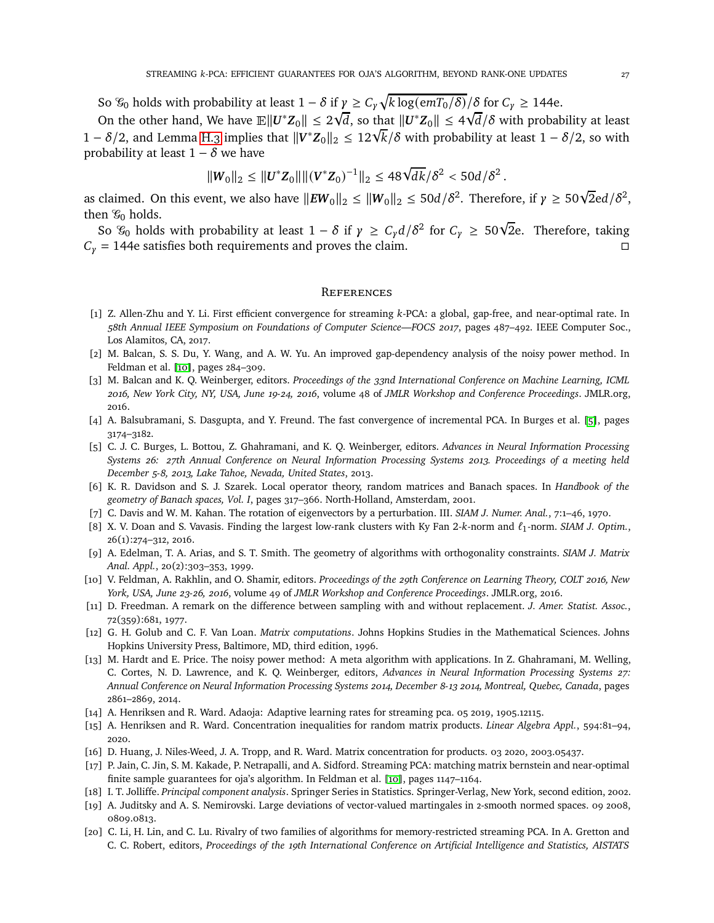So  $\mathcal{C}_0$  holds with probability at least  $1 - \delta$  if  $\gamma \geq C_\gamma \sqrt{k \log(emT_0/\delta)}/\delta$  for  $C_\gamma \geq 144e$ .

On the other hand, We have  $\mathbb{E} \|\boldsymbol{U}^*\boldsymbol{Z}_0\| \leq 2\sqrt{d}$ , so that  $\|\boldsymbol{U}^*\boldsymbol{Z}_0\| \leq 4\sqrt{d}/\delta$  with probability at least 1 –  $\delta/2$ , and Lemma [H.3](#page-25-3) implies that  $||V^*Z_0||_2 \leq 12\sqrt{k}/\delta$  with probability at least  $1 - \delta/2$ , so with probability at least  $1 - \delta$  we have

$$
||W_0||_2 \le ||U^* Z_0|| \, ||(V^* Z_0)^{-1}||_2 \le 48 \sqrt{dk} / \delta^2 < 50d / \delta^2 \, .
$$

as claimed. On this event, we also have  $||EW_0||_2 \le ||W_0||_2 \le 50d/\delta^2$ . Therefore, if  $\gamma \ge 50\sqrt{2}$ ed/ $\delta^2$ , then  $\mathcal{G}_0$  holds.

So  $\mathcal{C}_0$  holds with probability at least  $1 - \delta$  if  $\gamma \geq C_{\gamma} d/\delta^2$  for  $C_{\gamma} \geq 50\sqrt{2}e$ . Therefore, taking  $C_{\gamma} = 144e$  satisfies both requirements and proves the claim.

#### **REFERENCES**

- <span id="page-26-2"></span>[1] Z. Allen-Zhu and Y. Li. First efficient convergence for streaming k-PCA: a global, gap-free, and near-optimal rate. In *58th Annual IEEE Symposium on Foundations of Computer Science—FOCS 2017*, pages 487–492. IEEE Computer Soc., Los Alamitos, CA, 2017.
- <span id="page-26-7"></span>[2] M. Balcan, S. S. Du, Y. Wang, and A. W. Yu. An improved gap-dependency analysis of the noisy power method. In Feldman et al. [10], pages 284–309.
- [3] M. Balcan and K. Q. Weinberger, editors. *Proceedings of the 33nd International Conference on Machine Learning, ICML 2016, New York City, NY, USA, June 19-24, 2016*, volume 48 of *JMLR Workshop and Conference Proceedings*. JMLR.org, 2016.
- <span id="page-26-8"></span>[4] A. Balsubramani, S. Dasgupta, and Y. Freund. The fast convergence of incremental PCA. In Burges et al. [5], pages 3174–3182.
- [5] C. J. C. Burges, L. Bottou, Z. Ghahramani, and K. Q. Weinberger, editors. *Advances in Neural Information Processing Systems 26: 27th Annual Conference on Neural Information Processing Systems 2013. Proceedings of a meeting held December 5-8, 2013, Lake Tahoe, Nevada, United States*, 2013.
- <span id="page-26-16"></span>[6] K. R. Davidson and S. J. Szarek. Local operator theory, random matrices and Banach spaces. In *Handbook of the geometry of Banach spaces, Vol. I*, pages 317–366. North-Holland, Amsterdam, 2001.
- <span id="page-26-13"></span><span id="page-26-12"></span>[7] C. Davis and W. M. Kahan. The rotation of eigenvectors by a perturbation. III. *SIAM J. Numer. Anal.*, 7:1–46, 1970.
- [8] X. V. Doan and S. Vavasis. Finding the largest low-rank clusters with Ky Fan 2-k-norm and  $\ell_1$ -norm. *SIAM J. Optim.*, 26(1):274–312, 2016.
- <span id="page-26-4"></span>[9] A. Edelman, T. A. Arias, and S. T. Smith. The geometry of algorithms with orthogonality constraints. *SIAM J. Matrix Anal. Appl.*, 20(2):303–353, 1999.
- [10] V. Feldman, A. Rakhlin, and O. Shamir, editors. *Proceedings of the 29th Conference on Learning Theory, COLT 2016, New York, USA, June 23-26, 2016*, volume 49 of *JMLR Workshop and Conference Proceedings*. JMLR.org, 2016.
- <span id="page-26-15"></span>[11] D. Freedman. A remark on the difference between sampling with and without replacement. *J. Amer. Statist. Assoc.*, 72(359):681, 1977.
- <span id="page-26-3"></span>[12] G. H. Golub and C. F. Van Loan. *Matrix computations*. Johns Hopkins Studies in the Mathematical Sciences. Johns Hopkins University Press, Baltimore, MD, third edition, 1996.
- <span id="page-26-9"></span>[13] M. Hardt and E. Price. The noisy power method: A meta algorithm with applications. In Z. Ghahramani, M. Welling, C. Cortes, N. D. Lawrence, and K. Q. Weinberger, editors, *Advances in Neural Information Processing Systems 27: Annual Conference on Neural Information Processing Systems 2014, December 8-13 2014, Montreal, Quebec, Canada*, pages 2861–2869, 2014.
- <span id="page-26-14"></span><span id="page-26-10"></span>[14] A. Henriksen and R. Ward. Adaoja: Adaptive learning rates for streaming pca. 05 2019, 1905.12115.
- <span id="page-26-5"></span>[15] A. Henriksen and R. Ward. Concentration inequalities for random matrix products. *Linear Algebra Appl.*, 594:81–94, 2020.
- <span id="page-26-1"></span>[16] D. Huang, J. Niles-Weed, J. A. Tropp, and R. Ward. Matrix concentration for products. 03 2020, 2003.05437.
- [17] P. Jain, C. Jin, S. M. Kakade, P. Netrapalli, and A. Sidford. Streaming PCA: matching matrix bernstein and near-optimal finite sample guarantees for oja's algorithm. In Feldman et al. [10], pages 1147–1164.
- <span id="page-26-11"></span><span id="page-26-0"></span>[18] I. T. Jolliffe. *Principal component analysis*. Springer Series in Statistics. Springer-Verlag, New York, second edition, 2002.
- [19] A. Juditsky and A. S. Nemirovski. Large deviations of vector-valued martingales in 2-smooth normed spaces. 09 2008, 0809.0813.
- <span id="page-26-6"></span>[20] C. Li, H. Lin, and C. Lu. Rivalry of two families of algorithms for memory-restricted streaming PCA. In A. Gretton and C. C. Robert, editors, *Proceedings of the 19th International Conference on Artificial Intelligence and Statistics, AISTATS*